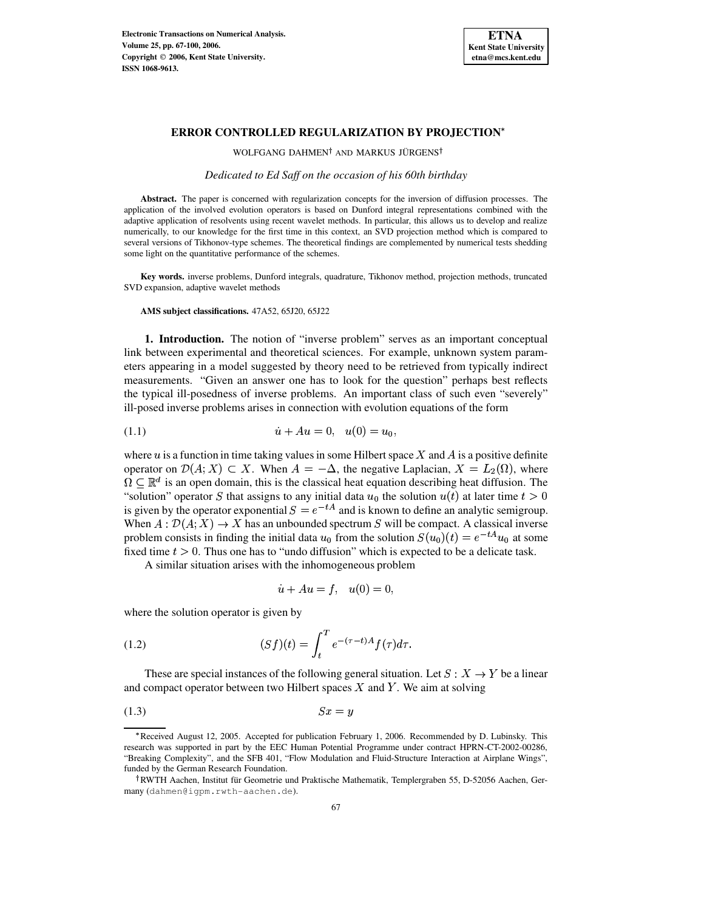

WOLFGANG DAHMEN<sup>†</sup> AND MARKUS JÜRGENS<sup>†</sup>

*Dedicated to Ed Saff on the occasion of his 60th birthday*

**Abstract.** The paper is concerned with regularization concepts for the inversion of diffusion processes. The application of the involved evolution operators is based on Dunford integral representations combined with the adaptive application of resolvents using recent wavelet methods. In particular, this allows us to develop and realize numerically, to our knowledge for the first time in this context, an SVD projection method which is compared to several versions of Tikhonov-type schemes. The theoretical findings are complemented by numerical tests shedding some light on the quantitative performance of the schemes.

**Key words.** inverse problems, Dunford integrals, quadrature, Tikhonov method, projection methods, truncated SVD expansion, adaptive wavelet methods

**AMS subject classifications.** 47A52, 65J20, 65J22

<span id="page-0-2"></span>**1. Introduction.** The notion of "inverse problem" serves as an important conceptual link between experimental and theoretical sciences. For example, unknown system parameters appearing in a model suggested by theory need to be retrieved from typically indirect measurements. "Given an answer one has to look for the question" perhaps best reflects the typical ill-posedness of inverse problems. An important class of such even "severely" ill-posed inverse problems arises in connection with evolution equations of the form

(1.1) - 

where  $u$  is a function in time taking values in some Hilbert space  $X$  and  $\overline{A}$  is a positive definite operator on  $\mathcal{D}(A; X) \subset X$ . When  $A = -\Delta$ , the negative Laplacian,  $X = L_2(\Omega)$ , where  $\Omega \subset \mathbb{R}^d$  is an open domain, this is the classical heat equation describing heat diffusion. The "solution" operator S that assigns to any initial data  $u_0$  the solution  $u(t)$  at later time  $t > 0$ is given by the operator exponential  $S = e^{-tA}$  and is known to define an analytic semigroup. When  $A: \mathcal{D}(A; X) \to X$  has an unbounded spectrum S will be compact. A classical inverse problem consists in finding the initial data  $u_0$  from the solution  $S(u_0)(t) = e^{-tA}u_0$  at some fixed time  $t > 0$ . Thus one has to "undo diffusion" which is expected to be a delicate task.

A similar situation arises with the inhomogeneous problem

<span id="page-0-3"></span><span id="page-0-1"></span><span id="page-0-0"></span>
$$
\dot{u} + Au = f, \quad u(0) = 0,
$$

where the solution operator is given by

(1.2) 
$$
(Sf)(t) = \int_{t}^{T} e^{-(\tau - t)A} f(\tau) d\tau.
$$

These are special instances of the following general situation. Let  $S : X \to Y$  be a linear and compact operator between two Hilbert spaces  $X$  and  $Y$ . We aim at solving

$$
(1.3) \t\t Sx = y
$$

<sup>`</sup> Received August 12, 2005. Accepted for publication February 1, 2006. Recommended by D. Lubinsky. This research was supported in part by the EEC Human Potential Programme under contract HPRN-CT-2002-00286, "Breaking Complexity", and the SFB 401, "Flow Modulation and Fluid-Structure Interaction at Airplane Wings", funded by the German Research Foundation.

<sup>&</sup>lt;sup>†</sup>RWTH Aachen, Institut für Geometrie und Praktische Mathematik, Templergraben 55, D-52056 Aachen, Germany (dahmen@igpm.rwth-aachen.de).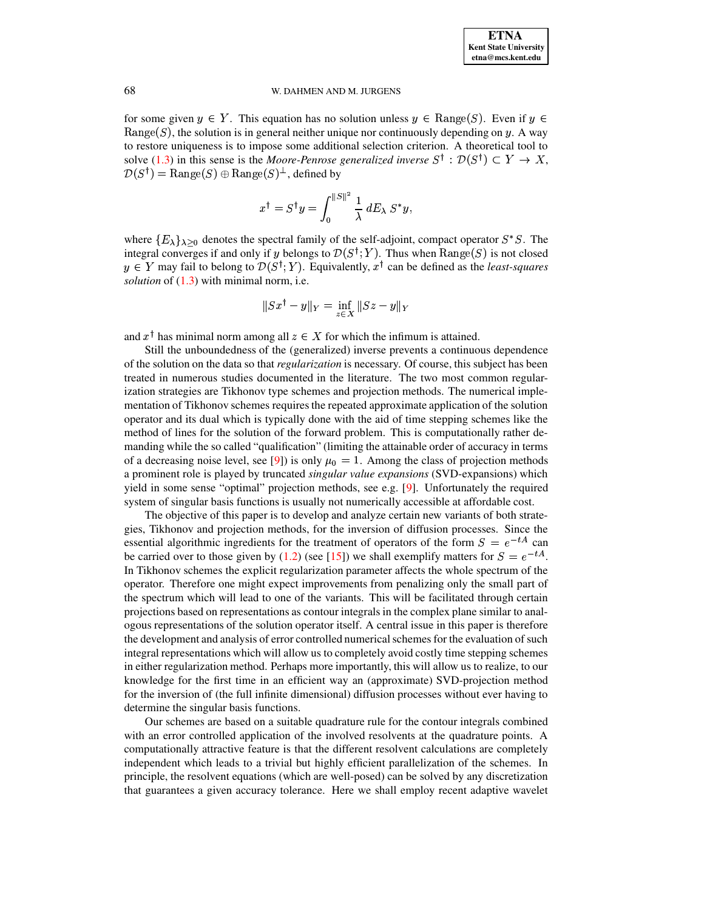for some given  $y \in Y$ . This equation has no solution unless  $y \in \text{Range}(S)$ . Even if  $y \in$ Range(S), the solution is in general neither unique nor continuously depending on y. A way to restore uniqueness is to impose some additional selection criterion. A theoretical tool to solve [\(1.3\)](#page-0-0) in this sense is the *Moore-Penrose* generalized inverse  $S^{\dagger} : \mathcal{D}(S^{\dagger}) \subset Y \to X$ ,  $\mathcal{D}(S^\dagger) = \mathrm{Range}(S) \oplus \mathrm{Range}(S)^\perp,$  defined by

$$
x^\dagger = S^\dagger y = \int_0^{\|S\|^2} \frac{1}{\lambda}\, dE_\lambda\ S^* y,
$$

where  $\{E_{\lambda}\}_{\lambda>0}$  denotes the spectral family of the self-adjoint, compact operator  $S^*S$ . The integral converges if and only if y belongs to  $\mathcal{D}(S^{\dagger}; Y)$ . Thus when  $\text{Range}(S)$  is not closed  $\gamma \in Y$  may fail to belong to  $\mathcal{D}(S^{\dagger}; Y)$ . Equivalently,  $x^{\dagger}$  can be defined as the *least-squares solution* of [\(1.3\)](#page-0-0) with minimal norm, i.e.

$$
\|Sx^\dagger - y\|_Y = \inf_{z \in X} \|Sz - y\|_Y
$$

and  $x^{\dagger}$  has minimal norm among all  $z \in X$  for which the infimum is attained.

Still the unboundedness of the (generalized) inverse prevents a continuous dependence of the solution on the data so that *regularization* is necessary. Of course, this subject has been treated in numerous studies documented in the literature. The two most common regularization strategies are Tikhonov type schemes and projection methods. The numerical implementation of Tikhonov schemes requires the repeated approximate application of the solution operator and its dual which is typically done with the aid of time stepping schemes like the method of lines for the solution of the forward problem. This is computationally rather demanding while the so called "qualification" (limiting the attainable order of accuracy in terms of a decreasing noise level, see [\[9\]](#page-32-0)) is only  $\mu_0 = 1$ . Among the class of projection methods <sup>t</sup> a prominent role is played by truncated *singular value expansions* (SVD-expansions) which yield in some sense "optimal" projection methods, see e.g. [\[9\]](#page-32-0). Unfortunately the required system of singular basis functions is usually not numerically accessible at affordable cost.

The objective of this paper is to develop and analyze certain new variants of both strategies, Tikhonov and projection methods, for the inversion of diffusion processes. Since the essential algorithmic ingredients for the treatment of operators of the form  $S = e^{-tA}$  can be carried over to those given by [\(1.2\)](#page-0-1) (see [\[15\]](#page-33-0)) we shall exemplify matters for  $S = e^{-tA}$ . In Tikhonov schemes the explicit regularization parameter affects the whole spectrum of the operator. Therefore one might expect improvements from penalizing only the small part of the spectrum which will lead to one of the variants. This will be facilitated through certain projections based on representations as contour integrals in the complex plane similar to analogous representations of the solution operator itself. A central issue in this paper is therefore the development and analysis of error controlled numericalschemes for the evaluation of such integral representations which will allow us to completely avoid costly time stepping schemes in either regularization method. Perhaps more importantly, this will allow us to realize, to our knowledge for the first time in an efficient way an (approximate) SVD-projection method for the inversion of (the full infinite dimensional) diffusion processes without ever having to determine the singular basis functions.

Our schemes are based on a suitable quadrature rule for the contour integrals combined with an error controlled application of the involved resolvents at the quadrature points. A computationally attractive feature is that the different resolvent calculations are completely independent which leads to a trivial but highly efficient parallelization of the schemes. In principle, the resolvent equations (which are well-posed) can be solved by any discretization that guarantees a given accuracy tolerance. Here we shall employ recent adaptive wavelet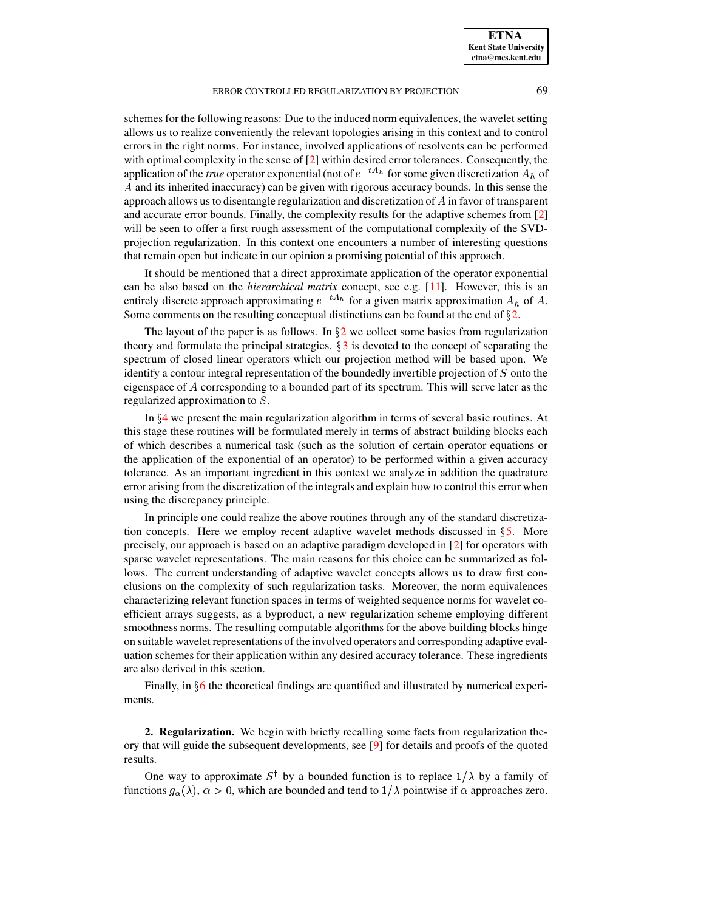schemes for the following reasons: Due to the induced norm equivalences, the wavelet setting allows us to realize conveniently the relevant topologies arising in this context and to control errors in the right norms. For instance, involved applications of resolvents can be performed with optimal complexity in the sense of [\[2\]](#page-32-1) within desired error tolerances. Consequently, the application of the *true* operator exponential (not of  $e^{-tA_h}$  for some given discretization  $A_h$  of  $A$  and its inherited inaccuracy) can be given with rigorous accuracy bounds. In this sense the approach allows us to disentangle regularization and discretization of  $A$  in favor of transparent and accurate error bounds. Finally, the complexity results for the adaptive schemes from [\[2\]](#page-32-1) will be seen to offer a first rough assessment of the computational complexity of the SVDprojection regularization. In this context one encounters a number of interesting questions that remain open but indicate in our opinion a promising potential of this approach.

It should be mentioned that a direct approximate application of the operator exponential can be also based on the *hierarchical matrix* concept, see e.g. [\[11\]](#page-32-2). However, this is an entirely discrete approach approximating  $e^{-tA_h}$  for a given matrix approximation  $A_h$  of  $A$ . Some comments on the resulting conceptual distinctions can be found at the end of  $\S 2$ .

The layout of the paper is as follows. In  $\S2$  $\S2$  we collect some basics from regularization theory and formulate the principal strategies.  $\S$ [3](#page-7-0) is devoted to the concept of separating the spectrum of closed linear operators which our projection method will be based upon. We identify a contour integral representation of the boundedly invertible projection of  $S$  onto the eigenspace of A corresponding to a bounded part of its spectrum. This will serve later as the regularized approximation to  $S$ .

In  $\S 4$  $\S 4$  we present the main regularization algorithm in terms of several basic routines. At this stage these routines will be formulated merely in terms of abstract building blocks each of which describes a numerical task (such as the solution of certain operator equations or the application of the exponential of an operator) to be performed within a given accuracy tolerance. As an important ingredient in this context we analyze in addition the quadrature error arising from the discretization of the integrals and explain how to control this error when using the discrepancy principle.

In principle one could realize the above routines through any of the standard discretization concepts. Here we employ recent adaptive wavelet methods discussed in  $\S$ [5.](#page-15-0) More precisely, our approach is based on an adaptive paradigm developed in [\[2\]](#page-32-1) for operators with sparse wavelet representations. The main reasons for this choice can be summarized as follows. The current understanding of adaptive wavelet concepts allows us to draw first conclusions on the complexity of such regularization tasks. Moreover, the norm equivalences characterizing relevant function spaces in terms of weighted sequence norms for wavelet coefficient arrays suggests, as a byproduct, a new regularization scheme employing different smoothness norms. The resulting computable algorithms for the above building blocks hinge on suitable wavelet representations of the involved operators and corresponding adaptive evaluation schemes for their application within any desired accuracy tolerance. These ingredients are also derived in this section.

Finally, in  $\S6$  $\S6$  the theoretical findings are quantified and illustrated by numerical experiments.

<span id="page-2-0"></span>**2. Regularization.** We begin with briefly recalling some facts from regularization theory that will guide the subsequent developments, see [\[9\]](#page-32-0) for details and proofs of the quoted results.

One way to approximate  $S^{\dagger}$  by a bounded function is to replace  $1/\lambda$  by a family of tions  $a(\lambda)$ ,  $\alpha > 0$ , which are bounded and tend to  $1/\lambda$  pointwise if  $\alpha$  approaches zero. functions  $g_{\alpha}(\lambda)$ ,  $\alpha > 0$ , which are bounded and tend to  $1/\lambda$  pointwise if  $\alpha$  approaches zero.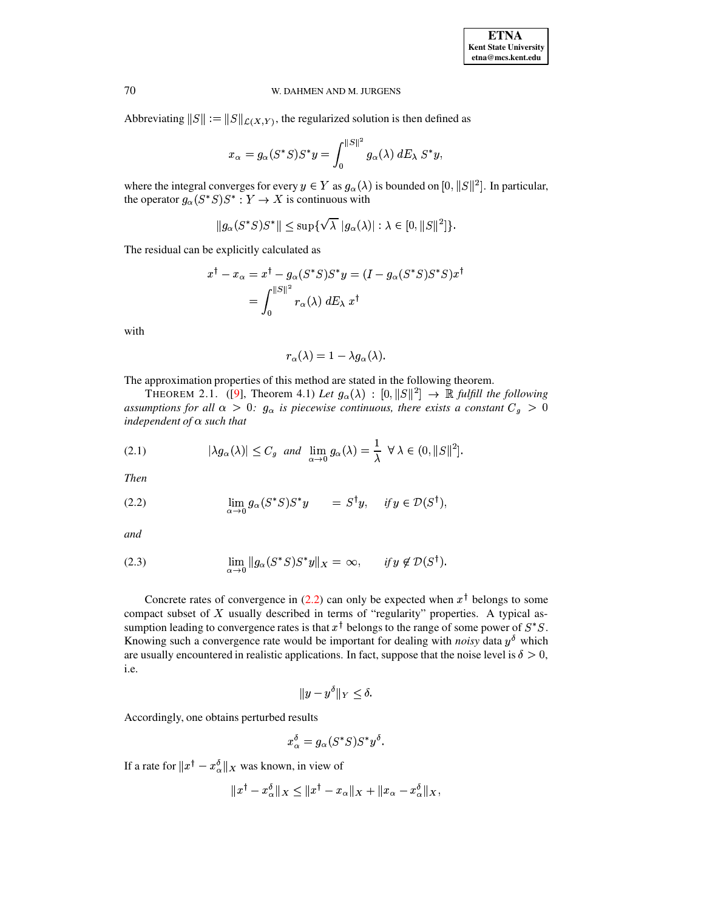Abbreviating  $||S|| := ||S||_{\mathcal{L}(X,Y)}$ , the regularized solution is then defined as

$$
x_{\alpha}=g_{\alpha}(S^*S)S^*y=\int_0^{||S||^2}g_{\alpha}(\lambda)\;dE_{\lambda}\;S^*y,
$$

where the integral converges for every  $y \in Y$  as  $g_\alpha(\lambda)$  is bounded on  $[0, ||S||^2]$ . In particular, the operator  $g_{\alpha}(S^*S)S^* : Y \to X$  is continuous with

$$
||g_{\alpha}(S^*S)S^*|| \leq \sup \{ \sqrt{\lambda} |g_{\alpha}(\lambda)| : \lambda \in [0, ||S||^2] \}.
$$

The residual can be explicitly calculated as

$$
x^{\dagger} - x_{\alpha} = x^{\dagger} - g_{\alpha}(S^*S)S^*y = (I - g_{\alpha}(S^*S)S^*S)x^{\dagger}
$$

$$
= \int_0^{||S||^2} r_{\alpha}(\lambda) dE_{\lambda} x^{\dagger}
$$

with

<span id="page-3-1"></span>
$$
r_{\alpha}(\lambda) = 1 - \lambda g_{\alpha}(\lambda).
$$

The approximation properties of this method are stated in the following theorem.

THEOREM 2.1. ([\[9\]](#page-32-0), Theorem 4.1) Let  $g_{\alpha}(\lambda) : [0, ||S||^2] \rightarrow \mathbb{R}$  fulfill the following *assumptions for all*  $\alpha > 0$ :  $g_{\alpha}$  *is piecewise continuous, there exists a constant*  $C_g > 0$ *independent of*  $\alpha$  *such that* 

<span id="page-3-2"></span>(2.1) 
$$
|\lambda g_{\alpha}(\lambda)| \leq C_g \text{ and } \lim_{\alpha \to 0} g_{\alpha}(\lambda) = \frac{1}{\lambda} \ \forall \ \lambda \in (0, \|S\|^2].
$$

*Then*

<span id="page-3-0"></span>(2.2) 
$$
\lim_{\alpha \to 0} g_{\alpha}(S^*S)S^*y = S^{\dagger}y, \quad \text{if } y \in \mathcal{D}(S^{\dagger}),
$$

*and*

(2.3) 
$$
\lim_{\alpha \to 0} \|g_{\alpha}(S^*S)S^*y\|_X = \infty, \quad \text{if } y \notin \mathcal{D}(S^{\dagger}).
$$

Concrete rates of convergence in [\(2.2\)](#page-3-0) can only be expected when  $x^{\dagger}$  belongs to some compact subset of  $X$  usually described in terms of "regularity" properties. A typical assumption leading to convergence rates is that  $x^{\dagger}$  belongs to the range of some power of  $S^*S$ . Knowing such a convergence rate would be important for dealing with *noisy* data  $y^{\delta}$  which are usually encountered in realistic applications. In fact, suppose that the noise level is  $\delta > 0$ , i.e.

$$
||y-y^{\delta}||_Y \leq \delta.
$$

Accordingly, one obtains perturbed results

$$
x_\alpha^\delta = g_\alpha(S^*S)S^*y^\delta.
$$

If a rate for  $||x^{\dagger} - x^{\delta}_{\alpha}||_X$  was known, in view of

$$
\|x^\dagger-x^\delta_\alpha\|_X\leq\|x^\dagger-x_\alpha\|_X+\|x_\alpha-x^\delta_\alpha\|_X,
$$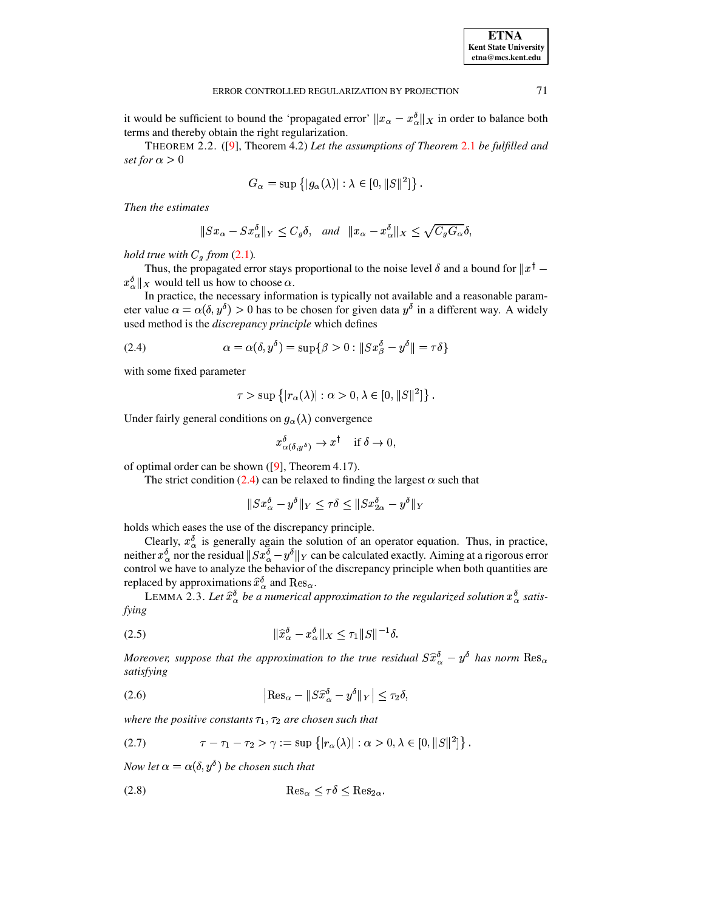**ETNA**

it would be sufficient to bound the 'propagated error'  $||x_{\alpha} - x_{\alpha}^{\delta}||_{X}$  in order to balance both terms and thereby obtain the right regularization.

THEOREM 2.2. ([\[9\]](#page-32-0), Theorem 4.2) *Let the assumptions of Theorem* [2.1](#page-3-1) *be fulfilled and set for*  $\alpha > 0$ 

$$
G_{\alpha} = \sup \{ |g_{\alpha}(\lambda)| : \lambda \in [0, ||S||^2] \} .
$$

*Then the estimates*

$$
\|Sx_{\alpha} - Sx_{\alpha}^{\delta}\|_{Y} \le C_{g}\delta, \text{ and } \|x_{\alpha} - x_{\alpha}^{\delta}\|_{X} \le \sqrt{C_{g}G_{\alpha}}\delta,
$$

*hold true with*  $C_g$  *from* [\(2.1\)](#page-3-2).

Thus, the propagated error stays proportional to the noise level  $\delta$  and a bound for  $||x^{\dagger} ||x^{\delta}||_X$  would tell us how to choose  $\alpha$ .

In practice, the necessary information is typically not available and a reasonable parameter value  $\alpha = \alpha(\delta, y^{\delta}) > 0$  has to be chosen for given data  $y^{\delta}$  in a different way. A widely used method is the *discrepancy principle* which defines

(2.4) 
$$
\alpha = \alpha(\delta, y^{\delta}) = \sup \{ \beta > 0 : ||Sx^{\delta}_{\beta} - y^{\delta}|| = \tau \delta \}
$$

with some fixed parameter

<span id="page-4-0"></span>
$$
\tau > \sup \{ |r_\alpha(\lambda)| : \alpha > 0, \lambda \in [0, ||S||^2] \} .
$$

Under fairly general conditions on  $g_{\alpha}(\lambda)$  convergence

$$
x_{\alpha(\delta, u^{\delta})}^{\delta} \rightarrow x^{\dagger}
$$
 if  $\delta \rightarrow 0$ ,

of optimal order can be shown ([\[9\]](#page-32-0), Theorem 4.17).

The strict condition [\(2.4\)](#page-4-0) can be relaxed to finding the largest  $\alpha$  such that

<span id="page-4-2"></span>
$$
\|Sx_\alpha^{\mathfrak{d}}-y^{\mathfrak{d}}\|_Y\leq \tau\delta\leq \|Sx_{2\alpha}^{\mathfrak{d}}-y^{\mathfrak{d}}\|_Y
$$

holds which eases the use of the discrepancy principle.

Clearly,  $x^{\delta}_{\alpha}$  is generally again the solution of an operator equation. Thus, in practice, neither  $x_0^{\delta}$  nor the residual  $||Sx_0^{\delta} - y^{\delta}||_Y$  can be calculated exactly. Aiming at a rigorous error control we have to analyze the behavior of the discrepancy principle when both quantities are replaced by approximations  $\widehat{x}_{\alpha}^{\delta}$  and  $\mathrm{Res}_{\alpha}$ .

<span id="page-4-3"></span>LEMMA 2.3. Let  $\hat{x}^{\delta}_{\alpha}$  be a numerical approximation to the regularized solution  $x^{\delta}_{\alpha}$  satis*fying*

$$
\|\widehat{x}_{\alpha}^{\delta} - x_{\alpha}^{\delta}\|_{X} \le \tau_{1} \|S\|^{-1} \delta.
$$

<span id="page-4-4"></span>*Moreover, suppose that the approximation to the true residual*  $S\widehat{x}_{\alpha}^{\delta} - y^{\delta}$  *has norm*  $\text{Res}_{\alpha}$ *satisfying*

(2.6) 
$$
\left| \text{Res}_{\alpha} - \|S\hat{x}^{\delta}_{\alpha} - y^{\delta} \|_{Y} \right| \leq \tau_{2} \delta,
$$

<span id="page-4-1"></span>where the positive constants  $\tau_1$ ,  $\tau_2$  are chosen such that

(2.7) 
$$
\tau - \tau_1 - \tau_2 > \gamma := \sup \{ |r_\alpha(\lambda)| : \alpha > 0, \lambda \in [0, ||S||^2] \}.
$$

<span id="page-4-5"></span> $Now$  let  $\alpha = \alpha(\delta, y^{\delta})$  be chosen such that

(2.8) b\*f ¥ ¤ <sup>W</sup> » ¤ bIf¥ '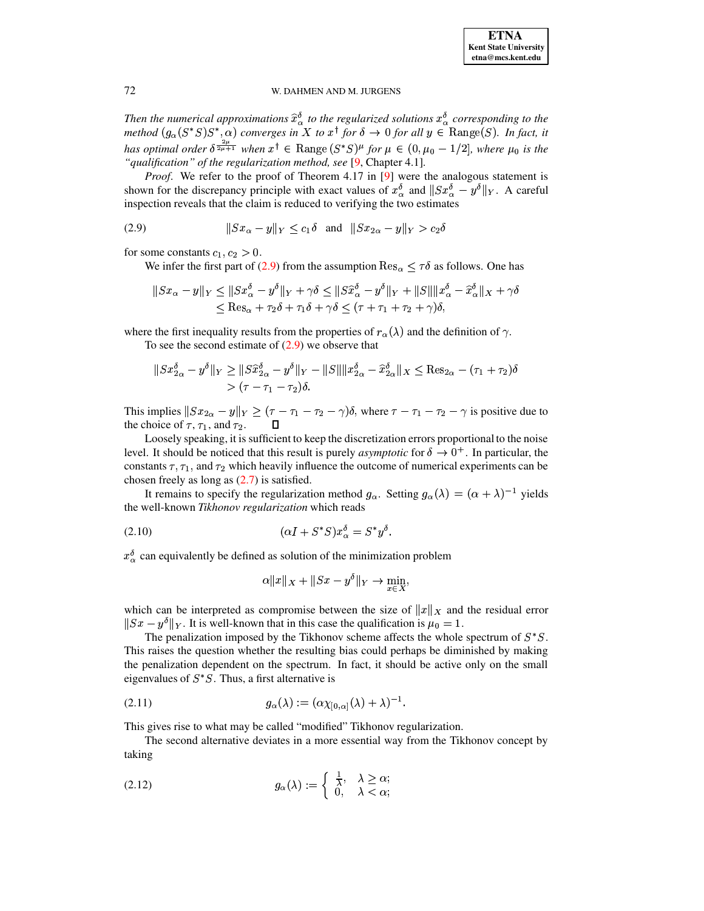**ETNA Kent State University** etna@mcs.kent.edu

## <span id="page-5-0"></span>W. DAHMEN AND M. JURGENS

Then the numerical approximations  $\hat{x}^{\delta}_{\alpha}$  to the regularized solutions  $x^{\delta}_{\alpha}$  corresponding to the method  $(g_{\alpha}(S^*S)S^*, \alpha)$  converges in X to  $x^{\dagger}$  for  $\delta \to 0$  for all  $y \in \text{Range}(S)$ . In fact, it has optimal order  $\delta^{\frac{2\mu}{2\mu+1}}$  when  $x^{\dagger} \in \text{Range}(S^*S)^{\mu}$  for  $\mu \in (0, \mu_0 - 1/2]$ , where  $\mu_0$  is the "qualification" of the regularization method, see [9, Chapter 4.1].

*Proof.* We refer to the proof of Theorem 4.17 in [9] were the analogous statement is shown for the discrepancy principle with exact values of  $x_\alpha^{\delta}$  and  $||Sx_\alpha^{\delta} - y^\delta||_Y$ . A careful inspection reveals that the claim is reduced to verifying the two estimates

$$
(2.9) \t\t\t||Sx_{\alpha} - y||_Y \le c_1 \delta \text{ and } ||Sx_{2\alpha} - y||_Y > c_2 \delta
$$

for some constants  $c_1, c_2 > 0$ .

We infer the first part of (2.9) from the assumption  $\text{Res}_{\alpha} \leq \tau \delta$  as follows. One has

$$
|Sx_{\alpha} - y||_Y \le ||Sx_{\alpha}^{\delta} - y^{\delta}||_Y + \gamma \delta \le ||S\hat{x}_{\alpha}^{\delta} - y^{\delta}||_Y + ||S|| ||x_{\alpha}^{\delta} - \hat{x}_{\alpha}^{\delta}||_X + \gamma \delta
$$
  
\$\leq \text{Res}\_{\alpha} + \tau\_2 \delta + \tau\_1 \delta + \gamma \delta \leq (\tau + \tau\_1 + \tau\_2 + \gamma)\delta,

where the first inequality results from the properties of  $r_{\alpha}(\lambda)$  and the definition of  $\gamma$ .

To see the second estimate of  $(2.9)$  we observe that

$$
||Sx_{2\alpha}^{\delta} - y^{\delta}||_Y \ge ||S\hat{x}_{2\alpha}^{\delta} - y^{\delta}||_Y - ||S|| ||x_{2\alpha}^{\delta} - \hat{x}_{2\alpha}^{\delta}||_X \le \text{Res}_{2\alpha} - (\tau_1 + \tau_2)\delta
$$
  
>  $(\tau - \tau_1 - \tau_2)\delta$ .

This implies  $||Sx_{2\alpha} - y||_Y \ge (\tau - \tau_1 - \tau_2 - \gamma)\delta$ , where  $\tau - \tau_1 - \tau_2 - \gamma$  is positive due to the choice of  $\tau$ ,  $\tau_1$ , and  $\tau_2$ .

Loosely speaking, it is sufficient to keep the discretization errors proportional to the noise level. It should be noticed that this result is purely *asymptotic* for  $\delta \to 0^+$ . In particular, the constants  $\tau$ ,  $\tau_1$ , and  $\tau_2$  which heavily influence the outcome of numerical experiments can be chosen freely as long as  $(2.7)$  is satisfied.

It remains to specify the regularization method  $g_{\alpha}$ . Setting  $g_{\alpha}(\lambda) = (\alpha + \lambda)^{-1}$  yields the well-known Tikhonov regularization which reads

$$
(2.10) \qquad \qquad (\alpha I + S^* S) x_{\alpha}^{\delta} = S^* y^{\delta}.
$$

 $x_{\alpha}^{\delta}$  can equivalently be defined as solution of the minimization problem

<span id="page-5-3"></span><span id="page-5-1"></span>
$$
\alpha \|x\|_X + \|Sx - y^\delta\|_Y \to \min_{x \in X},
$$

which can be interpreted as compromise between the size of  $||x||_X$  and the residual error  $||Sx - y^{\delta}||_Y$ . It is well-known that in this case the qualification is  $\mu_0 = 1$ .

The penalization imposed by the Tikhonov scheme affects the whole spectrum of  $S^*S$ . This raises the question whether the resulting bias could perhaps be diminished by making the penalization dependent on the spectrum. In fact, it should be active only on the small eigenvalues of  $S^*S$ . Thus, a first alternative is

$$
(2.11) \t\t g_{\alpha}(\lambda) := (\alpha \chi_{[0,\alpha]}(\lambda) + \lambda)^{-1}.
$$

This gives rise to what may be called "modified" Tikhonov regularization.

<span id="page-5-2"></span>The second alternative deviates in a more essential way from the Tikhonov concept by taking

(2.12) 
$$
g_{\alpha}(\lambda) := \begin{cases} \frac{1}{\lambda}, & \lambda \geq \alpha; \\ 0, & \lambda < \alpha; \end{cases}
$$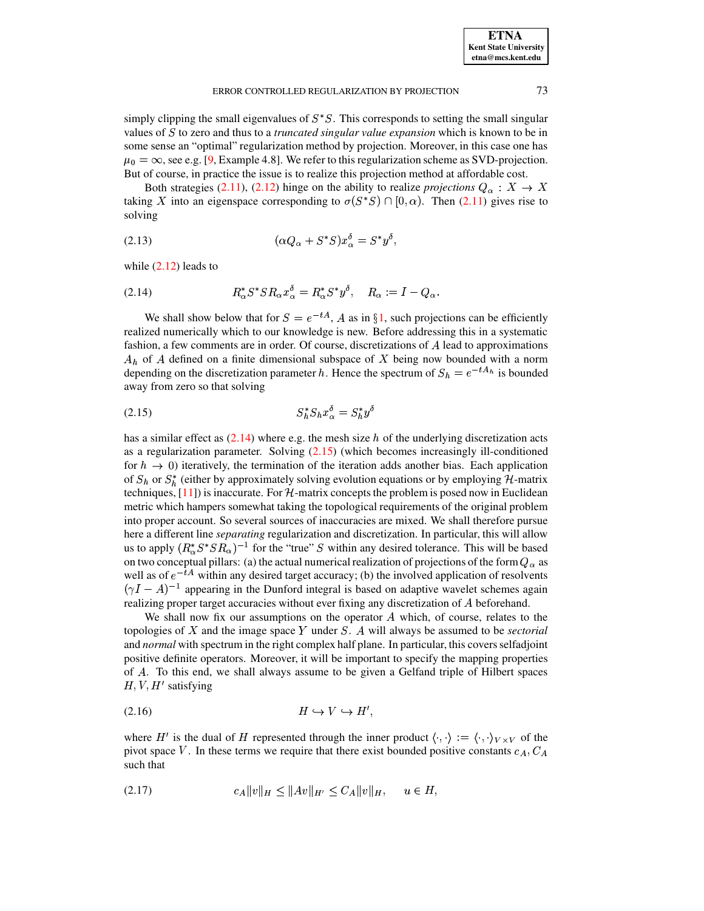simply clipping the small eigenvalues of  $S^*S$ . This corresponds to setting the small singular values of <sup>0</sup> to zero and thus to a *truncated singular value expansion* which is known to be in some sense an "optimal" regularization method by projection. Moreover, in this case one has  $\mu_0 = \infty$ , see e.g. [\[9,](#page-32-0) Example 4.8]. We refer to this regularization scheme as SVD-projection. But of course, in practice the issue is to realize this projection method at affordable cost.

<span id="page-6-3"></span>Both strategies [\(2.11\)](#page-5-1), [\(2.12\)](#page-5-2) hinge on the ability to realize *projections*  $Q_{\alpha}: X \to X$ taking X into an eigenspace corresponding to  $\sigma(S^*S) \cap [0, \alpha)$ . Then [\(2.11\)](#page-5-1) gives rise to solving

$$
(2.13)\qquad \qquad (\alpha Q_{\alpha} + S^* S) x_{\alpha}^{\delta} = S^* y^{\delta},
$$

<span id="page-6-0"></span>while  $(2.12)$  leads to

$$
(2.14) \t\t R_{\alpha}^* S^* S R_{\alpha} x_{\alpha}^{\delta} = R_{\alpha}^* S^* y^{\delta}, \quad R_{\alpha} := I - Q_{\alpha}.
$$

We shall show below that for  $S = e^{-tA}$ , A as in §[1,](#page-0-2) such projections can be efficiently realized numerically which to our knowledge is new. Before addressing this in a systematic fashion, a few comments are in order. Of course, discretizations of A lead to approximations  $A_h$  of A defined on a finite dimensional subspace of X being now bounded with a norm depending on the discretization parameter h. Hence the spectrum of  $S_h = e^{-tA_h}$  is bounded away from zero so that solving

<span id="page-6-1"></span>
$$
(2.15) \tS_h^* S_h x_\alpha^\delta = S_h^* y^\delta
$$

has a similar effect as  $(2.14)$  where e.g. the mesh size h of the underlying discretization acts as a regularization parameter. Solving [\(2.15\)](#page-6-1) (which becomes increasingly ill-conditioned for  $h \to 0$ ) iteratively, the termination of the iteration adds another bias. Each application of  $S_h$  or  $S_h^*$  (either by approximately solving evolution equations or by employing  $H$ -matrix techniques,  $[11]$ ) is inaccurate. For  $H$ -matrix concepts the problem is posed now in Euclidean metric which hampers somewhat taking the topological requirements of the original problem into proper account. So several sources of inaccuracies are mixed. We shall therefore pursue here a different line *separating* regularization and discretization. In particular, this will allow us to apply  $(R_{\alpha}^* S^* S R_{\alpha})^{-1}$  for the "true" S within any desired tolerance. This will be based on two conceptual pillars: (a) the actual numerical realization of projections of the form  $Q_{\alpha}$  as well as of  $e^{-tA}$  within any desired target accuracy; (b) the involved application of resolvents  $(\gamma I - A)^{-1}$  appearing in the Dunford integral is based on adaptive wavelet schemes again realizing proper target accuracies without ever fixing any discretization of beforehand.

We shall now fix our assumptions on the operator  $A$  which, of course, relates to the topologies of  $X$  and the image space  $Y$  under  $S$ .  $A$  will always be assumed to be *sectorial* and *normal* with spectrum in the right complex half plane. In particular, this coversselfadjoint positive definite operators. Moreover, it will be important to specify the mapping properties of . To this end, we shall always assume to be given a Gelfand triple of Hilbert spaces  $H, V, H'$  satisfying

<span id="page-6-4"></span>(2.16) éîí?ïê í? <sup>é</sup><sup>ë</sup>

<span id="page-6-2"></span>where H' is the dual of H represented through the inner product  $\langle \cdot, \cdot \rangle := \langle \cdot, \cdot \rangle_{V \times V}$  of the pivot space V. In these terms we require that there exist bounded positive constants  $c_A$ ,  $C_A$ such that

$$
(2.17) \t\t cA||v||H \le ||Av||H' \le CA||v||H, \t u \in H,
$$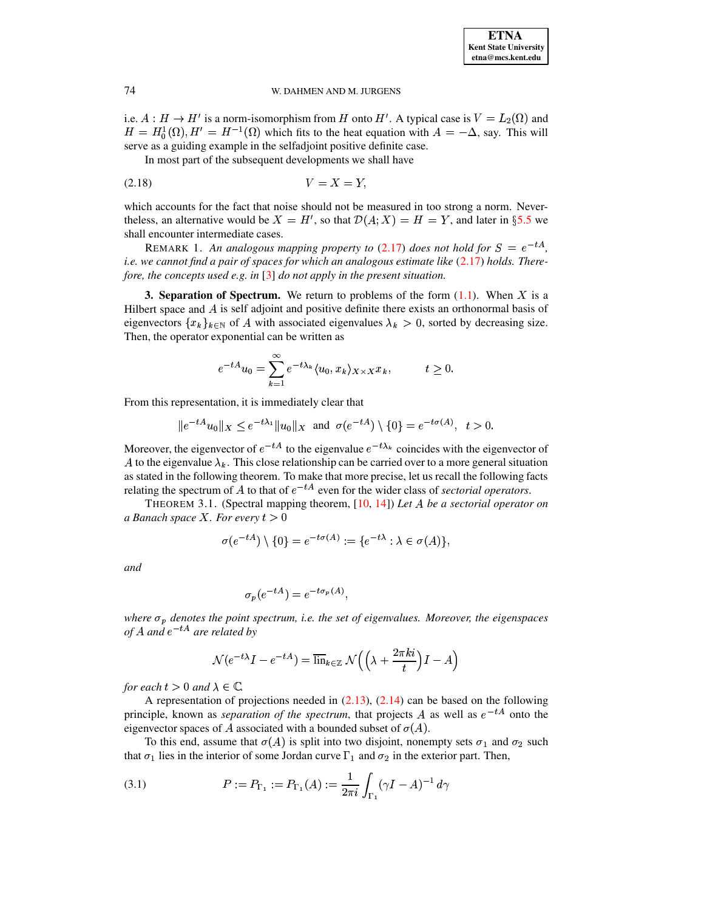i.e.  $A: H \to H'$  is a norm-isomorphism from H onto H'. A typical case is  $V = L_2(\Omega)$  and  $H = H_0^1(\Omega)$ ,  $H' = H^{-1}(\Omega)$  which fits to the heat equation with  $A = -\Delta$ , say. This will serve as a guiding example in the selfadjoint positive definite case.

<span id="page-7-2"></span>In most part of the subsequent developments we shall have

$$
(2.18) \t\t V = X = Y
$$

which accounts for the fact that noise should not be measured in too strong a norm. Nevertheless, an alternative would be  $X = H'$ , so that  $\mathcal{D}(A; X) = H = Y$ , and later in §5.5 we shall encounter intermediate cases.

REMARK 1. An analogous mapping property to (2.17) does not hold for  $S = e^{-tA}$ , i.e. we cannot find a pair of spaces for which an analogous estimate like  $(2.17)$  holds. Therefore, the concepts used e.g. in  $\lceil 3 \rceil$  do not apply in the present situation.

<span id="page-7-0"></span>**3. Separation of Spectrum.** We return to problems of the form  $(1.1)$ . When X is a Hilbert space and  $A$  is self adjoint and positive definite there exists an orthonormal basis of eigenvectors  $\{x_k\}_{k\in\mathbb{N}}$  of A with associated eigenvalues  $\lambda_k > 0$ , sorted by decreasing size. Then, the operator exponential can be written as

$$
e^{-tA}u_0 = \sum_{k=1}^{\infty} e^{-t\lambda_k} \langle u_0, x_k \rangle_{X \times X} x_k, \qquad t \ge 0.
$$

From this representation, it is immediately clear that

$$
|e^{-tA}u_0\|_X \le e^{-t\lambda_1} \|u_0\|_X \text{ and } \sigma(e^{-tA}) \setminus \{0\} = e^{-t\sigma(A)}, \ t > 0.
$$

Moreover, the eigenvector of  $e^{-tA}$  to the eigenvalue  $e^{-t\lambda_k}$  coincides with the eigenvector of A to the eigenvalue  $\lambda_k$ . This close relationship can be carried over to a more general situation as stated in the following theorem. To make that more precise, let us recall the following facts relating the spectrum of A to that of  $e^{-tA}$  even for the wider class of sectorial operators.

<span id="page-7-1"></span>THEOREM 3.1. (Spectral mapping theorem,  $[10, 14]$ ) Let A be a sectorial operator on a Banach space X. For every  $t > 0$ 

$$
\sigma(e^{-tA}) \setminus \{0\} = e^{-t\sigma(A)} := \{e^{-t\lambda} : \lambda \in \sigma(A)\},\
$$

and

$$
\sigma_p(e^{-tA}) = e^{-t\sigma_p(A)},
$$

where  $\sigma_p$  denotes the point spectrum, i.e. the set of eigenvalues. Moreover, the eigenspaces of A and  $e^{-tA}$  are related by

<span id="page-7-3"></span>
$$
\mathcal{N}(e^{-t\lambda}I - e^{-tA}) = \overline{\lim}_{k \in \mathbb{Z}} \mathcal{N}\left(\left(\lambda + \frac{2\pi ki}{t}\right)I - A\right)
$$

for each  $t > 0$  and  $\lambda \in \mathbb{C}$ .

A representation of projections needed in  $(2.13)$ ,  $(2.14)$  can be based on the following principle, known as *separation of the spectrum*, that projects A as well as  $e^{-tA}$  onto the eigenvector spaces of A associated with a bounded subset of  $\sigma(A)$ .

To this end, assume that  $\sigma(A)$  is split into two disjoint, nonempty sets  $\sigma_1$  and  $\sigma_2$  such that  $\sigma_1$  lies in the interior of some Jordan curve  $\Gamma_1$  and  $\sigma_2$  in the exterior part. Then,

(3.1) 
$$
P := P_{\Gamma_1} := P_{\Gamma_1}(A) := \frac{1}{2\pi i} \int_{\Gamma_1} (\gamma I - A)^{-1} d\gamma
$$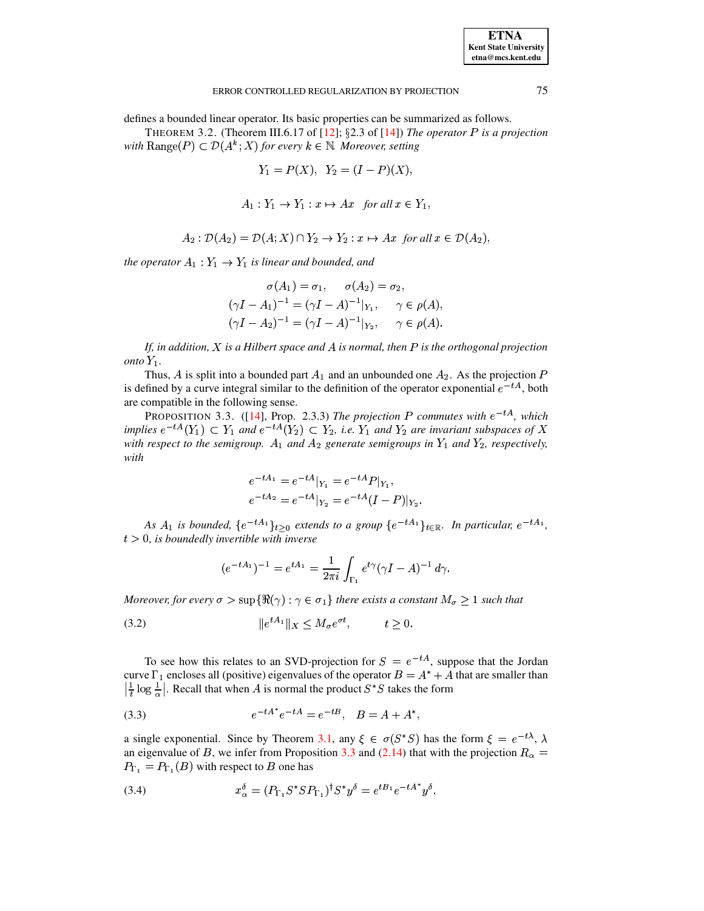defines a bounded linear operator. Its basic properties can be summarized as follows.

THEOREM 3.2. (Theorem III.6.17 of [12]; §2.3 of [14]) The operator P is a projection with Range(P)  $\subset \mathcal{D}(A^k;X)$  for every  $k \in \mathbb{N}$ . Moreover, setting

$$
Y_1 = P(X), Y_2 = (I - P)(X),
$$

$$
A_1: Y_1 \to Y_1: x \mapsto Ax \quad \text{for all } x \in Y_1,
$$

$$
A_2: \mathcal{D}(A_2) = \mathcal{D}(A;X) \cap Y_2 \to Y_2: x \mapsto Ax \text{ for all } x \in \mathcal{D}(A_2),
$$

the operator  $A_1: Y_1 \to Y_1$  is linear and bounded, and

$$
\sigma(A_1) = \sigma_1, \quad \sigma(A_2) = \sigma_2,
$$
  
\n
$$
(\gamma I - A_1)^{-1} = (\gamma I - A)^{-1}|_{Y_1}, \quad \gamma \in \rho(A),
$$
  
\n
$$
(\gamma I - A_2)^{-1} = (\gamma I - A)^{-1}|_{Y_2}, \quad \gamma \in \rho(A).
$$

If, in addition,  $X$  is a Hilbert space and  $A$  is normal, then  $P$  is the orthogonal projection onto  $Y_1$ .

Thus, A is split into a bounded part  $A_1$  and an unbounded one  $A_2$ . As the projection P is defined by a curve integral similar to the definition of the operator exponential  $e^{-tA}$ , both are compatible in the following sense.

PROPOSITION 3.3. ([14], Prop. 2.3.3) The projection P commutes with  $e^{-tA}$ , which implies  $e^{-tA}(Y_1) \subset Y_1$  and  $e^{-tA}(Y_2) \subset Y_2$ , i.e.  $Y_1$  and  $Y_2$  are invariant subspaces of X with respect to the semigroup.  $A_1$  and  $A_2$  generate semigroups in  $Y_1$  and  $Y_2$ , respectively, with

<span id="page-8-2"></span><span id="page-8-0"></span>
$$
e^{-tA_1} = e^{-tA}|_{Y_1} = e^{-tA}P|_{Y_1},
$$
  
\n
$$
e^{-tA_2} = e^{-tA}|_{Y_2} = e^{-tA}(I-P)|_{Y_2}
$$

As  $A_1$  is bounded,  $\{e^{-tA_1}\}_{t>0}$  extends to a group  $\{e^{-tA_1}\}_{t\in\mathbb{R}}$ . In particular,  $e^{-tA_1}$ ,  $t > 0$ , is boundedly invertible with inverse

<span id="page-8-3"></span>
$$
(e^{-tA_1})^{-1} = e^{tA_1} = \frac{1}{2\pi i} \int_{\Gamma_1} e^{t\gamma} (\gamma I - A)^{-1} d\gamma.
$$

Moreover, for every  $\sigma > \sup{\Re(\gamma) : \gamma \in \sigma_1\}$  there exists a constant  $M_{\sigma} \geq 1$  such that

$$
(3.2) \t\t\t\t\t \|e^{tA_1}\|_X \le M_\sigma e^{\sigma t}, \t t \ge 0
$$

To see how this relates to an SVD-projection for  $S = e^{-tA}$ , suppose that the Jordan curve  $\Gamma_1$  encloses all (positive) eigenvalues of the operator  $B = A^* + A$  that are smaller than  $\left|\frac{1}{t}\log\frac{1}{\alpha}\right|$ . Recall that when A is normal the product  $S^*S$  takes the form

(3.3) 
$$
e^{-tA^*}e^{-tA} = e^{-tB}, \quad B = A + A^*
$$

a single exponential. Since by Theorem 3.1, any  $\xi \in \sigma(S^*S)$  has the form  $\xi = e^{-t\lambda}$ ,  $\lambda$ an eigenvalue of B, we infer from Proposition 3.3 and (2.14) that with the projection  $R_{\alpha}$  =  $P_{\Gamma_1} = P_{\Gamma_1}(B)$  with respect to B one has

<span id="page-8-1"></span>(3.4) 
$$
x_{\alpha}^{\delta} = (P_{\Gamma_1} S^* S P_{\Gamma_1})^{\dagger} S^* y^{\delta} = e^{t B_1} e^{-t A^*} y^{\delta}.
$$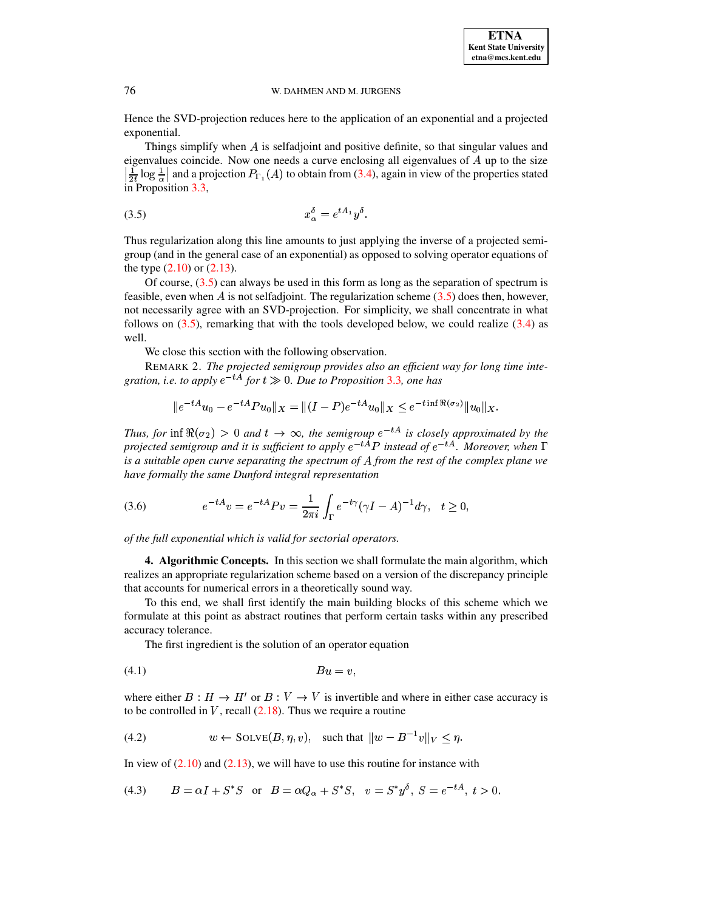Hence the SVD-projection reduces here to the application of an exponential and a projected exponential.

Things simplify when  $A$  is selfadjoint and positive definite, so that singular values and eigenvalues coincide. Now one needs a curve enclosing all eigenvalues of  $A$  up to the size  $\frac{1}{2t} \log \frac{1}{\alpha}$  and a projection  $P_{\Gamma_1}(A)$  to obtain from (3.4), again in view of the properties stated in Proposition 3.3,

<span id="page-9-1"></span>
$$
(3.5) \t\t x_{\alpha}^{\delta} = e^{tA_1}y^{\delta}.
$$

Thus regularization along this line amounts to just applying the inverse of a projected semigroup (and in the general case of an exponential) as opposed to solving operator equations of the type  $(2.10)$  or  $(2.13)$ .

Of course,  $(3.5)$  can always be used in this form as long as the separation of spectrum is feasible, even when A is not selfadjoint. The regularization scheme  $(3.5)$  does then, however, not necessarily agree with an SVD-projection. For simplicity, we shall concentrate in what follows on  $(3.5)$ , remarking that with the tools developed below, we could realize  $(3.4)$  as well.

We close this section with the following observation.

<span id="page-9-6"></span>REMARK 2. The projected semigroup provides also an efficient way for long time integration, i.e. to apply  $e^{-tA}$  for  $t \gg 0$ . Due to Proposition 3.3, one has

<span id="page-9-2"></span>
$$
||e^{-tA}u_0 - e^{-tA}Pu_0||_X = ||(I - P)e^{-tA}u_0||_X \le e^{-t\inf \Re(\sigma_2)}||u_0||_X.
$$

Thus, for inf  $\Re(\sigma_2) > 0$  and  $t \to \infty$ , the semigroup  $e^{-tA}$  is closely approximated by the projected semigroup and it is sufficient to apply  $e^{-t\hat{A}}P$  instead of  $e^{-t\hat{A}}$ . Moreover, when  $\Gamma$ is a suitable open curve separating the spectrum of  $A$  from the rest of the complex plane we have formally the same Dunford integral representation

(3.6) 
$$
e^{-tA}v = e^{-tA}Pv = \frac{1}{2\pi i}\int_{\Gamma} e^{-t\gamma}(\gamma I - A)^{-1}d\gamma, \quad t \ge 0,
$$

<span id="page-9-0"></span>of the full exponential which is valid for sectorial operators.

**4. Algorithmic Concepts.** In this section we shall formulate the main algorithm, which realizes an appropriate regularization scheme based on a version of the discrepancy principle that accounts for numerical errors in a theoretically sound way.

To this end, we shall first identify the main building blocks of this scheme which we formulate at this point as abstract routines that perform certain tasks within any prescribed accuracy tolerance.

<span id="page-9-4"></span><span id="page-9-3"></span>The first ingredient is the solution of an operator equation

$$
(4.1) \t\t\t Bu = v,
$$

where either  $B : H \to H'$  or  $B : V \to V$  is invertible and where in either case accuracy is to be controlled in V, recall  $(2.18)$ . Thus we require a routine

(4.2) 
$$
w \leftarrow \text{SOLVE}(B, \eta, v), \text{ such that } \|w - B^{-1}v\|_V \leq \eta.
$$

<span id="page-9-5"></span>In view of  $(2.10)$  and  $(2.13)$ , we will have to use this routine for instance with

(4.3) 
$$
B = \alpha I + S^*S \text{ or } B = \alpha Q_{\alpha} + S^*S, v = S^*y^{\delta}, S = e^{-tA}, t > 0.
$$

76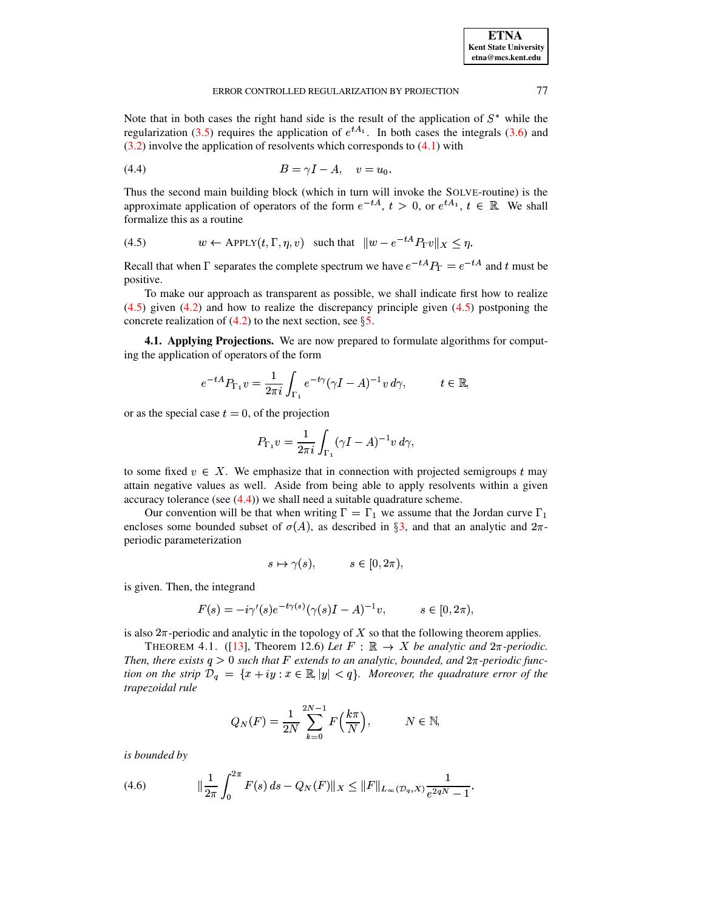Note that in both cases the right hand side is the result of the application of  $S^*$  while the regularization (3.5) requires the application of  $e^{tA_1}$ . In both cases the integrals (3.6) and  $(3.2)$  involve the application of resolvents which corresponds to  $(4.1)$  with

<span id="page-10-1"></span>
$$
(4.4) \t\t\t B = \gamma I - A, \t v = u_0
$$

Thus the second main building block (which in turn will invoke the SOLVE-routine) is the approximate application of operators of the form  $e^{-tA}$ ,  $t > 0$ , or  $e^{tA_1}$ ,  $t \in \mathbb{R}$ . We shall formalize this as a routine

<span id="page-10-0"></span>(4.5) 
$$
w \leftarrow \text{APPLY}(t, \Gamma, \eta, v) \quad \text{such that} \quad \|w - e^{-tA} P_{\Gamma} v\|_X \leq \eta.
$$

Recall that when  $\Gamma$  separates the complete spectrum we have  $e^{-tA}P_{\Gamma} = e^{-tA}$  and t must be positive.

To make our approach as transparent as possible, we shall indicate first how to realize  $(4.5)$  given  $(4.2)$  and how to realize the discrepancy principle given  $(4.5)$  postponing the concrete realization of  $(4.2)$  to the next section, see §5.

<span id="page-10-4"></span>4.1. Applying Projections. We are now prepared to formulate algorithms for computing the application of operators of the form

$$
e^{-tA}P_{\Gamma_1}v = \frac{1}{2\pi i}\int_{\Gamma_1} e^{-t\gamma}(\gamma I - A)^{-1}v\,d\gamma, \qquad t \in \mathbb{R},
$$

or as the special case  $t = 0$ , of the projection

$$
P_{\Gamma_1} v = \frac{1}{2\pi i} \int_{\Gamma_1} (\gamma I - A)^{-1} v \, d\gamma,
$$

to some fixed  $v \in X$ . We emphasize that in connection with projected semigroups t may attain negative values as well. Aside from being able to apply resolvents within a given accuracy tolerance (see  $(4.4)$ ) we shall need a suitable quadrature scheme.

Our convention will be that when writing  $\Gamma = \Gamma_1$  we assume that the Jordan curve  $\Gamma_1$ encloses some bounded subset of  $\sigma(A)$ , as described in §3, and that an analytic and  $2\pi$ periodic parameterization

<span id="page-10-3"></span>
$$
s \mapsto \gamma(s), \qquad s \in [0, 2\pi),
$$

is given. Then, the integrand

$$
F(s) = -i\gamma'(s)e^{-t\gamma(s)}(\gamma(s)I - A)^{-1}v, \qquad s \in [0, 2\pi),
$$

is also  $2\pi$ -periodic and analytic in the topology of X so that the following theorem applies.

THEOREM 4.1. ([13], Theorem 12.6) Let  $F : \mathbb{R} \to X$  be analytic and  $2\pi$ -periodic. Then, there exists  $q > 0$  such that F extends to an analytic, bounded, and  $2\pi$ -periodic function on the strip  $\mathcal{D}_q = \{x + iy : x \in \mathbb{R}, |y| < q\}$ . Moreover, the quadrature error of the trapezoidal rule

$$
Q_N(F) = \frac{1}{2N} \sum_{k=0}^{2N-1} F\left(\frac{k\pi}{N}\right), \qquad N \in \mathbb{N},
$$

<span id="page-10-2"></span>is bounded by

(4.6) 
$$
\|\frac{1}{2\pi}\int_0^{2\pi} F(s) \, ds - Q_N(F)\|_X \le \|F\|_{L_\infty(\mathcal{D}_q, X)} \frac{1}{e^{2qN} - 1}.
$$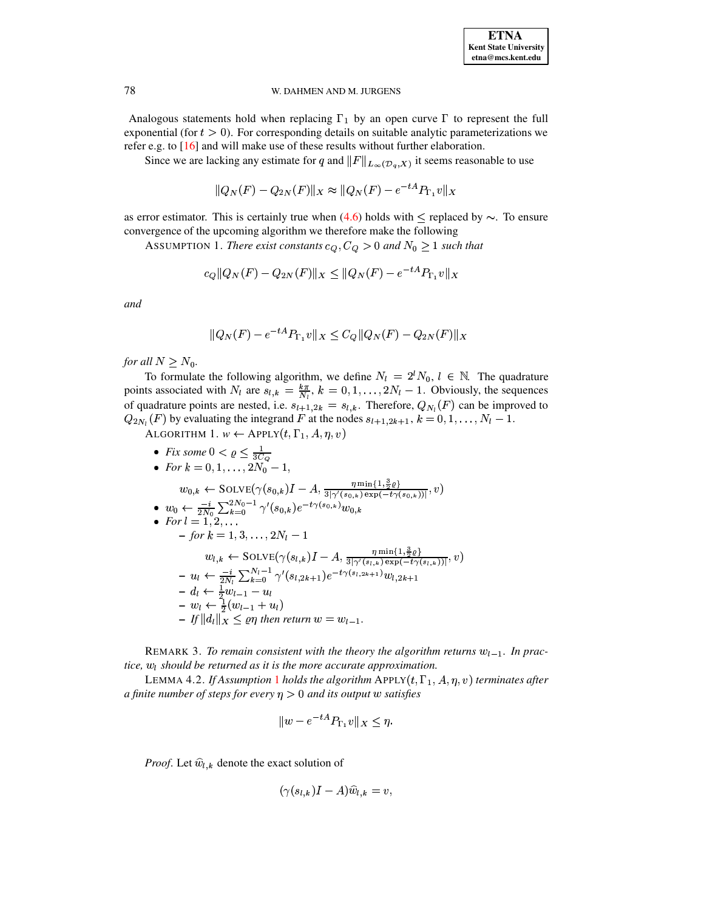Analogous statements hold when replacing  $\Gamma_1$  by an open curve  $\Gamma$  to represent the full exponential (for  $t > 0$ ). For corresponding details on suitable analytic parameterizations we refer e.g. to  $[16]$  and will make use of these results without further elaboration.

Since we are lacking any estimate for q and  $||F||_{L_{\infty}(\mathcal{D}_q,X)}$  it seems reasonable to use

<span id="page-11-0"></span>
$$
||Q_N(F) - Q_{2N}(F)||_X \approx ||Q_N(F) - e^{-tA} P_{\Gamma_1} v||_X
$$

as error estimator. This is certainly true when (4.6) holds with  $\leq$  replaced by  $\sim$ . To ensure convergence of the upcoming algorithm we therefore make the following

ASSUMPTION 1. There exist constants  $c_Q, C_Q > 0$  and  $N_0 \ge 1$  such that

$$
c_Q ||Q_N(F) - Q_{2N}(F)||_X \le ||Q_N(F) - e^{-tA} P_{\Gamma_1} v||_X
$$

and

<span id="page-11-1"></span>
$$
||Q_N(F) - e^{-tA} P_{\Gamma_1} v||_X \le C_Q ||Q_N(F) - Q_{2N}(F)||_X
$$

for all  $N \geq N_0$ .

To formulate the following algorithm, we define  $N_l = 2^l N_0$ ,  $l \in \mathbb{N}$ . The quadrature points associated with  $N_l$  are  $s_{l,k} = \frac{k\pi}{N_l}$ ,  $k = 0, 1, ..., 2N_l - 1$ . Obviously, the sequences of quadrature points are nested, i.e.  $s_{l+1,2k} = s_{l,k}$ . Therefore,  $Q_{N_l}(F)$  can be improved to  $Q_{2N_l}(F)$  by evaluating the integrand F at the nodes  $s_{l+1,2k+1}, k = 0, 1, ..., N_l - 1$ .

ALGORITHM 1.  $w \leftarrow \text{APPLY}(t, \Gamma_1, A, \eta, v)$ 

\n- \n
$$
\text{Fix some } 0 < \varrho \leq \frac{1}{3C_Q}
$$
\n
\n- \n
$$
\text{For } k = 0, 1, \ldots, 2N_0 - 1,
$$
\n
$$
w_{0,k} \leftarrow \text{SOLVE}(\gamma(s_{0,k})I - A, \frac{\eta \min\{1, \frac{3}{2}\varrho\}}{3|\gamma'(s_{0,k})\exp(-t\gamma(s_{0,k}))|}, v)
$$
\n
\n- \n
$$
w_0 \leftarrow \frac{-i}{2N_0} \sum_{k=0}^{2N_0 - 1} \gamma'(s_{0,k})e^{-t\gamma(s_{0,k})}w_{0,k}
$$
\n
\n- \n
$$
\text{For } l = 1, 2, \ldots
$$
\n
$$
-\text{for } k = 1, 3, \ldots, 2N_l - 1
$$
\n
$$
w_{l,k} \leftarrow \text{SOLVE}(\gamma(s_{l,k})I - A, \frac{\eta \min\{1, \frac{3}{2}\varrho\}}{3|\gamma'(s_{l,k})\exp(-t\gamma(s_{l,k}))|}, v)
$$
\n
$$
-u_l \leftarrow \frac{-i}{2N_l} \sum_{k=0}^{N_l - 1} \gamma'(s_{l,2k+1})e^{-t\gamma(s_{l,2k+1})}w_{l,2k+1}
$$
\n
$$
-d_l \leftarrow \frac{1}{2}w_{l-1} - u_l
$$
\n
$$
-w_l \leftarrow \frac{1}{2}(w_{l-1} + u_l)
$$
\n
$$
-|f||d_l||_X \leq \varrho\eta \text{ then return } w = w_{l-1}.
$$
\n
\n

REMARK 3. To remain consistent with the theory the algorithm returns  $w_{l-1}$ . In practice,  $w_l$  should be returned as it is the more accurate approximation.

LEMMA 4.2. If Assumption 1 holds the algorithm APPLY $(t, \Gamma_1, A, \eta, v)$  terminates after a finite number of steps for every  $\eta > 0$  and its output w satisfies

<span id="page-11-2"></span>
$$
||w - e^{-tA}P_{\Gamma_1}v||_X \le \eta.
$$

*Proof.* Let  $\hat{w}_{l,k}$  denote the exact solution of

$$
(\gamma(s_{l,k})I-A)\widehat{w}_{l,k}=v,
$$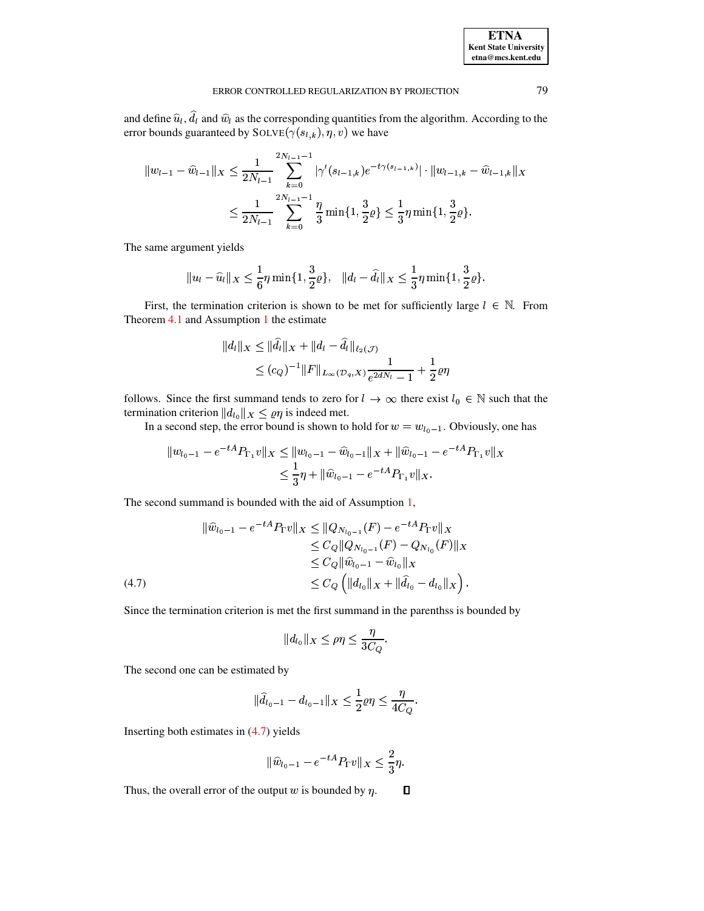and define  $\hat{u}_l$ ,  $\hat{d}_l$  and  $\hat{w}_l$  as the corresponding quantities from the algorithm. According to the error bounds guaranteed by  $SOLVE(\gamma(s_{l,k}), \gamma, v)$  we have

$$
||w_{l-1} - \widehat{w}_{l-1}||_X \le \frac{1}{2N_{l-1}} \sum_{k=0}^{2N_{l-1}-1} |\gamma'(s_{l-1,k})e^{-t\gamma(s_{l-1,k})}| \cdot ||w_{l-1,k} - \widehat{w}_{l-1,k}||_X
$$
  

$$
\le \frac{1}{2N_{l-1}} \sum_{k=0}^{2N_{l-1}-1} \frac{\eta}{3} \min\{1, \frac{3}{2}\varrho\} \le \frac{1}{3} \eta \min\{1, \frac{3}{2}\varrho\}.
$$

The same argument yields

$$
|u_{l}-\widehat{u}_{l}||_{X}\leq \frac{1}{6}\eta \min\{1,\frac{3}{2}\varrho\}, \quad ||d_{l}-\widehat{d}_{l}||_{X}\leq \frac{1}{3}\eta \min\{1,\frac{3}{2}\varrho\}.
$$

First, the termination criterion is shown to be met for sufficiently large  $l \in \mathbb{N}$ . From Theorem  $4.1$  and Assumption 1 the estimate

$$
||d_l||_X \le ||\hat{d}_l||_X + ||d_l - \hat{d}_l||_{\ell_2(\mathcal{J})}
$$
  
 
$$
\le (c_Q)^{-1} ||F||_{L_\infty(\mathcal{D}_q, X)} \frac{1}{e^{2dN_l} - 1} + \frac{1}{2}\varrho \eta
$$

follows. Since the first summand tends to zero for  $l \to \infty$  there exist  $l_0 \in \mathbb{N}$  such that the termination criterion  $||d_{l_0}||_X \leq \varrho \eta$  is indeed met.

In a second step, the error bound is shown to hold for  $w = w_{l_0 - 1}$ . Obviously, one has

$$
||w_{l_0-1} - e^{-tA} P_{\Gamma_1} v||_X \le ||w_{l_0-1} - \widehat{w}_{l_0-1}||_X + ||\widehat{w}_{l_0-1} - e^{-tA} P_{\Gamma_1} v||_X
$$
  

$$
\le \frac{1}{3} \eta + ||\widehat{w}_{l_0-1} - e^{-tA} P_{\Gamma_1} v||_X.
$$

The second summand is bounded with the aid of Assumption  $1$ ,

<span id="page-12-0"></span>
$$
\|\hat{w}_{l_0-1} - e^{-tA} P_{\Gamma} v\|_X \le \|Q_{N_{l_0-1}}(F) - e^{-tA} P_{\Gamma} v\|_X
$$
  
\n
$$
\le C_Q \|Q_{N_{l_0-1}}(F) - Q_{N_{l_0}}(F)\|_X
$$
  
\n
$$
\le C_Q \|\hat{w}_{l_0-1} - \hat{w}_{l_0}\|_X
$$
  
\n
$$
\le C_Q \left(\|d_{l_0}\|_X + \|\hat{d}_{l_0} - d_{l_0}\|_X\right).
$$
  
\n(4.7)

Since the termination criterion is met the first summand in the parenthss is bounded by

$$
||d_{l_0}||_X \leq \rho \eta \leq \frac{\eta}{3C_Q}.
$$

The second one can be estimated by

$$
\|\widehat{d}_{l_0-1}-d_{l_0-1}\|_X\leq \frac{1}{2}\varrho\eta\leq \frac{\eta}{4C_Q}.
$$

Inserting both estimates in  $(4.7)$  yields

$$
\|\widehat{w}_{l_0-1} - e^{-tA} P_{\Gamma} v\|_X \le \frac{2}{3}\eta.
$$

 $\Box$ Thus, the overall error of the output  $w$  is bounded by  $\eta$ .

79

**ETNA Kent State University**  $etna@mcs. kent.edu$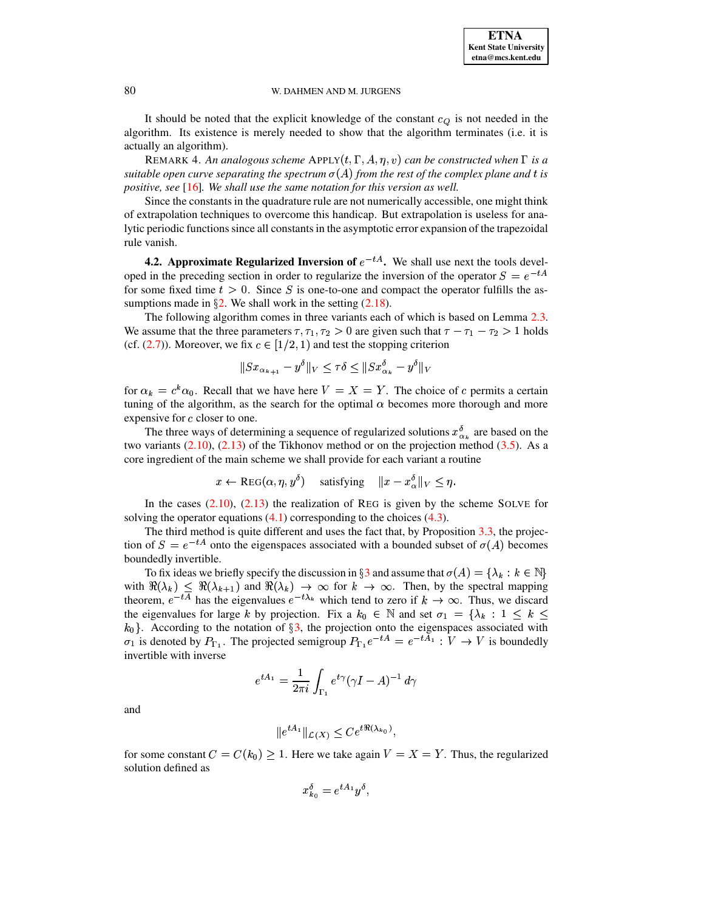It should be noted that the explicit knowledge of the constant  $c_Q$  is not needed in the algorithm. Its existence is merely needed to show that the algorithm terminates (i.e. it is actually an algorithm).

REMARK 4. An analogous scheme  $APPLY(t, \Gamma, A, \eta, v)$  can be constructed when  $\Gamma$  is a  $s$  *suitable open curve separating the spectrum*  $\sigma(A)$  *from the rest of the complex plane and*  $t$  *is positive, see* [\[16\]](#page-33-1)*. We shall use the same notation for this version as well.*

Since the constants in the quadrature rule are not numerically accessible, one might think of extrapolation techniques to overcome this handicap. But extrapolation is useless for analytic periodic functionssince all constantsin the asymptotic error expansion of the trapezoidal rule vanish.

<span id="page-13-0"></span>**4.2.** Approximate Regularized Inversion of  $e^{-tA}$ . We shall use next the tools developed in the preceding section in order to regularize the inversion of the operator  $S = e^{-tA}$ for some fixed time  $t > 0$ . Since S is one-to-one and compact the operator fulfills the assumptions made in  $\S2$ . We shall work in the setting ([2.](#page-2-0)18).

The following algorithm comes in three variants each of which is based on Lemma [2.3.](#page-4-2) We assume that the three parameters  $\tau$ ,  $\tau_1$ ,  $\tau_2 > 0$  are given such that  $\tau - \tau_1 - \tau_2 > 1$  holds (cf.  $(2.7)$ ). Moreover, we fix  $c \in [1/2, 1)$  and test the stopping criterion

$$
\|Sx_{\alpha_{k+1}} - y^\delta\|_V \le \tau\delta \le \|Sx^\delta_{\alpha_k} - y^\delta\|_V
$$

for  $\alpha_k = c^k \alpha_0$ . Recall that we have here  $V = X = Y$ . The choice of c permits a certain tuning of the algorithm, as the search for the optimal  $\alpha$  becomes more thorough and more expensive for  $c$  closer to one.

The three ways of determining a sequence of regularized solutions  $x^{\delta}_{\alpha_k}$  are based on the two variants  $(2.10)$ ,  $(2.13)$  of the Tikhonov method or on the projection method  $(3.5)$ . As a core ingredient of the main scheme we shall provide for each variant a routine

$$
x \leftarrow \text{REG}(\alpha, \eta, y^{\delta}) \quad \text{satisfying} \quad ||x - x^{\delta}_{\alpha}||_V \leq \eta.
$$

In the cases  $(2.10)$ ,  $(2.13)$  the realization of REG is given by the scheme SOLVE for solving the operator equations  $(4.1)$  corresponding to the choices  $(4.3)$ .

The third method is quite different and uses the fact that, by Proposition [3.3,](#page-8-0) the projection of  $S = e^{-tA}$  onto the eigenspaces associated with a bounded subset of  $\sigma(A)$  becomes boundedly invertible.

To fix ideas we briefly specify the discussion in  $\S 3$  $\S 3$  and assume that  $\sigma(A) = \{\lambda_k : k \in \mathbb{N}\}\$ Io fix ideas we briefly specify the discussion in 33 and assume that  $\sigma(A) = \{\lambda_k : k \in \mathbb{N}\}\$ <br>with  $\Re(\lambda_k) \leq \Re(\lambda_{k+1})$  and  $\Re(\lambda_k) \to \infty$  for  $k \to \infty$ . Then, by the spectral mapping with  $\mathcal{H}(\lambda_k) \leq \mathcal{H}(\lambda_{k+1})$  and  $\mathcal{H}(\lambda_k) \to \infty$  for  $k \to \infty$ . Then, by the spectral mapping theorem,  $e^{-tA}$  has the eigenvalues  $e^{-t\lambda_k}$  which tend to zero if  $k \to \infty$ . Thus, we discard theorem,  $e^{i\theta}$  has the eigenvalues  $e^{i\theta}$  which tend to zero if  $k \to \infty$ . Thus, we discard<br>the eigenvalues for large k by projection. Fix a  $k_0 \in \mathbb{N}$  and set  $\sigma_1 = {\lambda_k : 1 \le k \le$ <br> $k_0$ . According to the notation of  $\alpha_0$ . According to the notation of  $\S3$ , the projection onto the eigenspaces associated with  $\sigma_1$  is denoted by  $P_{\Gamma_1}$ . The projected semigroup  $P_{\Gamma_1}e^{-tA} = e^{-tA_1} : V \to V$  is boundedly invertible with inverse invertible with inverse

$$
e^{tA_1}=\frac{1}{2\pi i}\int_{\Gamma_1}e^{t\gamma}(\gamma I-A)^{-1}\,d\gamma
$$

and

$$
||e^{tA_1}||_{\mathcal{L}(X)} \le Ce^{t\Re(\lambda_{k_0})},
$$

for some constant  $C = C(k_0) \geq 1$ . Here we take again  $V = X = Y$ . Thus, the regularized solution defined as

$$
x_{k_0}^\delta=e^{tA_1}y^\delta,
$$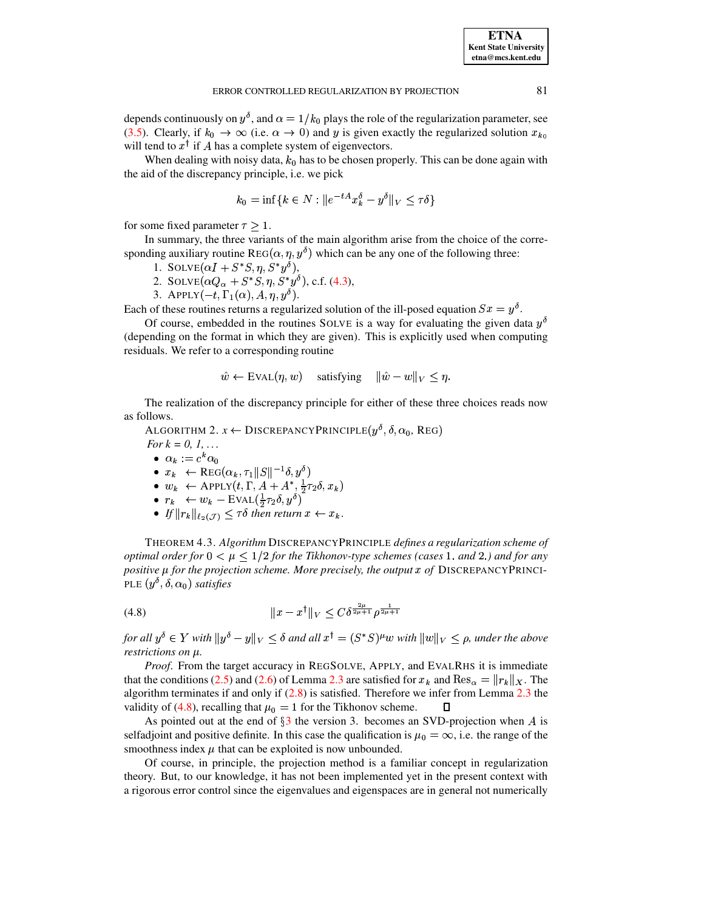depends continuously on  $y^{\delta}$ , and  $\alpha = 1/k_0$  plays the role of the regularization parameter, see (3.5). Clearly, if  $k_0 \to \infty$  (i.e.  $\alpha \to 0$ ) and y is given exactly the regularized solution  $x_{k_0}$ will tend to  $x^{\dagger}$  if A has a complete system of eigenvectors.

When dealing with noisy data,  $k_0$  has to be chosen properly. This can be done again with the aid of the discrepancy principle, i.e. we pick

$$
k_0 = \inf\{k \in N : \|e^{-tA}x_k^\delta - y^\delta\|_V \leq \tau\delta\}
$$

for some fixed parameter  $\tau \geq 1$ .

In summary, the three variants of the main algorithm arise from the choice of the corresponding auxiliary routine REG( $\alpha$ ,  $\eta$ ,  $y^{\delta}$ ) which can be any one of the following three:

- 1. SOLVE $(\alpha I + S^*S, \eta, S^*y^{\delta}),$
- 2. SOLVE $(\alpha Q_{\alpha} + S^*S, \eta, S^*y^{\delta})$ , c.f. (4.3),
- 3. APPLY $(-t, \Gamma_1(\alpha), A, \eta, y^{\delta}).$

Each of these routines returns a regularized solution of the ill-posed equation  $Sx = y^{\delta}$ .

Of course, embedded in the routines SOLVE is a way for evaluating the given data  $y^{\delta}$ (depending on the format in which they are given). This is explicitly used when computing residuals. We refer to a corresponding routine

$$
\hat{w} \leftarrow \text{EVAL}(\eta, w) \quad \text{satisfying} \quad \|\hat{w} - w\|_V \le \eta.
$$

<span id="page-14-1"></span>The realization of the discrepancy principle for either of these three choices reads now as follows.

ALGORITHM 2.  $x \leftarrow$  DISCREPANCY PRINCIPLE( $y^{\delta}$ ,  $\delta$ ,  $\alpha_0$ , REG)

For  $k = 0, 1, ...$ 

- $\alpha_k := c^k \alpha_0$
- $x_k \leftarrow \text{REG}(\alpha_k, \tau_1 ||S||^{-1} \delta, y^{\delta})$
- $w_k \leftarrow \text{APPLY}(t, \Gamma, A + A^*, \frac{1}{2}\tau_2 \delta, x_k)$ <br>•  $r_k \leftarrow w_k \text{EVAL}(\frac{1}{2}\tau_2 \delta, y^{\delta})$ <br>•  $If ||r_k||_{\ell_2(\mathcal{J})} \leq \tau \delta$  then return  $x \leftarrow x_k$ .
- 
- 

THEOREM 4.3. Algorithm DISCREPANCYPRINCIPLE defines a regularization scheme of optimal order for  $0 < \mu \leq 1/2$  for the Tikhonov-type schemes (cases 1. and 2.) and for any positive  $\mu$  for the projection scheme. More precisely, the output  $x$  of DISCREPANCYPRINCI-PLE  $(y^{\delta}, \delta, \alpha_0)$  satisfies

<span id="page-14-0"></span>
$$
(4.8) \t\t\t ||x - x†||_V \leq C\delta^{\frac{2\mu}{2\mu+1}}\rho^{\frac{1}{2\mu+1}}
$$

for all  $y^{\delta} \in Y$  with  $||y^{\delta} - y||_V \leq \delta$  and all  $x^{\dagger} = (S^*S)^{\mu}w$  with  $||w||_V \leq \rho$ , under the above restrictions on  $\mu$ .

*Proof.* From the target accuracy in REGSOLVE, APPLY, and EVALRHS it is immediate that the conditions (2.5) and (2.6) of Lemma 2.3 are satisfied for  $x_k$  and Res<sub> $\alpha$ </sub> =  $||r_k||_X$ . The algorithm terminates if and only if  $(2.8)$  is satisfied. Therefore we infer from Lemma 2.3 the validity of (4.8), recalling that  $\mu_0 = 1$  for the Tikhonov scheme. П

As pointed out at the end of  $\S3$  the version 3. becomes an SVD-projection when A is selfadjoint and positive definite. In this case the qualification is  $\mu_0 = \infty$ , i.e. the range of the smoothness index  $\mu$  that can be exploited is now unbounded.

Of course, in principle, the projection method is a familiar concept in regularization theory. But, to our knowledge, it has not been implemented yet in the present context with a rigorous error control since the eigenvalues and eigenspaces are in general not numerically

81

**ETNA Kent State University**  $etna@mcs. kent.edu$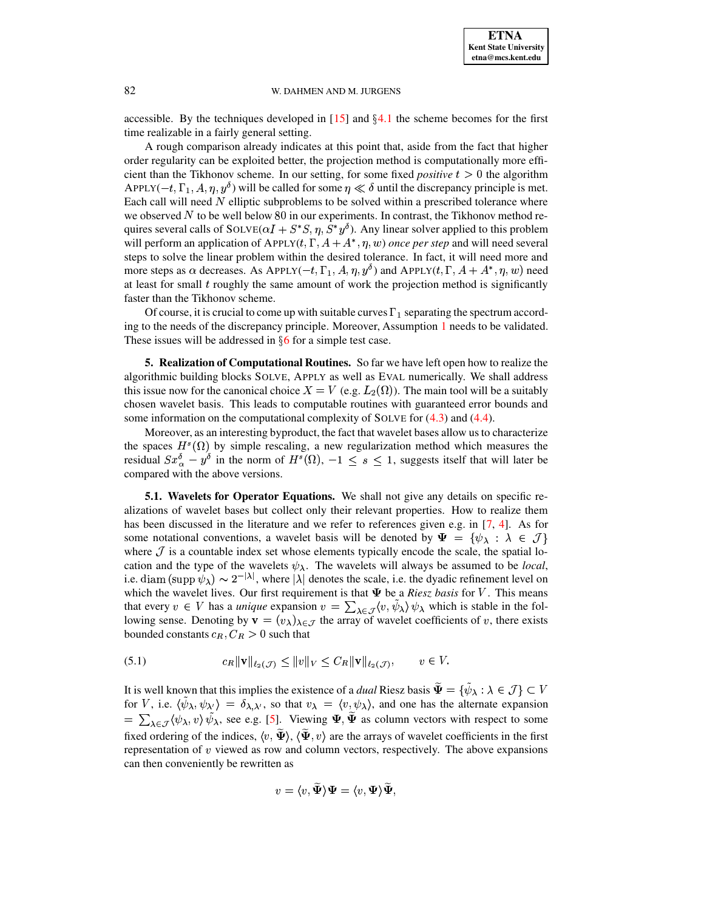accessible. By the techniques developed in  $[15]$  and  $\S 4.1$  $\S 4.1$  the scheme becomes for the first time realizable in a fairly general setting.

A rough comparison already indicates at this point that, aside from the fact that higher order regularity can be exploited better, the projection method is computationally more efficient than the Tikhonov scheme. In our setting, for some fixed *positive*  $t > 0$  the algorithm APPLY( $-t, \Gamma_1, A, \eta, y^{\delta}$ ) will be called for some  $\eta \ll \delta$  until the discrepancy principle is met. Each call will need  $N$  elliptic subproblems to be solved within a prescribed tolerance where we observed  $N$  to be well below 80 in our experiments. In contrast, the Tikhonov method requires several calls of  $\text{SOLVE}(\alpha I + S^*S, \eta, S^*y^0)$ . Any linear solver applied to this problem will perform an application of  $APPLY(t, \Gamma, A + A^*, \eta, w)$  *once per step* and will need several steps to solve the linear problem within the desired tolerance. In fact, it will need more and more steps as  $\alpha$  decreases. As APPLY(-t,  $\Gamma_1$ , A,  $\eta$ ,  $y^0$ ) and APPLY(t,  $\Gamma$ ,  $A + A^*$ ,  $\eta$ ,  $w$ ) need at least for small  $t$  roughly the same amount of work the projection method is significantly faster than the Tikhonov scheme.

Of course, it is crucial to come up with suitable curves  $\Gamma_1$  separating the spectrum according to the needs of the discrepancy principle. Moreover, Assumption [1](#page-11-0) needs to be validated. These issues will be addressed in  $§6$  $§6$  for a simple test case.

<span id="page-15-0"></span>**5. Realization of Computational Routines.** So far we have left open how to realize the algorithmic building blocks SOLVE, APPLY as well as EVAL numerically. We shall address this issue now for the canonical choice  $X = V$  (e.g.  $L_2(\Omega)$ ). The main tool will be a suitably chosen wavelet basis. This leads to computable routines with guaranteed error bounds and some information on the computational complexity of SOLVE for  $(4.3)$  and  $(4.4)$ .

Moreover, as an interesting byproduct, the fact that wavelet bases allow us to characterize the spaces  $H<sup>s</sup>(\Omega)$  by simple rescaling, a new regularization method which measures the residual  $Sx_{\alpha}^{\delta} - y^{\delta}$  in the norm of  $H^{s}(\Omega)$ ,  $-1 \leq s \leq 1$ , suggests itself that will later be compared with the above versions compared with the above versions.

<span id="page-15-2"></span>**5.1. Wavelets for Operator Equations.** We shall not give any details on specific realizations of wavelet bases but collect only their relevant properties. How to realize them has been discussed in the literature and we refer to references given e.g. in [\[7,](#page-32-8) [4\]](#page-32-9). As for some notational conventions, a wavelet basis will be denoted by  $\Psi = {\psi_\lambda : \lambda \in \mathcal{J}}$ where  $\mathcal J$  is a countable index set whose elements typically encode the scale, the spatial location and the type of the wavelets  $\psi_{\lambda}$ . The wavelets will always be assumed to be *local*, i.e. diam  $(\text{supp }\psi_\lambda) \sim 2^{-|\lambda|}$ , where  $|\lambda|$  denotes the scale, i.e. the dyadic refinement level on which the wavelet lives. Our first requirement is that **W** be a *Riesz basis* for *V*. This means which the wavelet lives. Our first requirement is that  $\Psi$  be a *Riesz basis* for V. This means that every  $v \in V$  has a *unique* expansion  $v = \sum_{\lambda \in \mathcal{J}} \langle v, \psi_{\lambda} \rangle \psi_{\lambda}$  which is stable in the following sense. Denoting by  $\mathbf{v} = (v_\lambda)_{\lambda \in \mathcal{J}}$  the array of wavelet coefficients of v, there exists bounded constants  $c_R$ ,  $C_R > 0$  such that

<span id="page-15-1"></span>
$$
(5.1) \t c_R \|\mathbf{v}\|_{\ell_2(\mathcal{J})} \le \|v\|_V \le C_R \|\mathbf{v}\|_{\ell_2(\mathcal{J})}, \t v \in V.
$$

It is well known that this implies the existence of a *dual* Riesz basis  $\Psi = \{ \psi_\lambda : \lambda \in \mathcal{J} \} \subset V$ for V, i.e.  $\langle \psi_{\lambda}, \psi_{\lambda'} \rangle = \delta_{\lambda, \lambda'}$ , so that  $v_{\lambda} = \langle v, \psi_{\lambda} \rangle$ , and one has the alternate expansion  $= \sum_{\lambda \in \mathcal{J}} \langle \psi_{\lambda}, v \rangle \psi_{\lambda}$ , see e.g. [\[5\]](#page-32-10). Viewing  $\Psi, \Psi$  as column vectors with respect to some fixed ordering of the indices,  $\langle v, \Psi \rangle$ ,  $\langle \Psi, v \rangle$  are the arrays of wavelet coefficients in the first representation of  $v$  viewed as row and column vectors, respectively. The above expansions can then conveniently be rewritten as

$$
v = \langle v, \widetilde{\mathbf \Psi} \rangle \mathbf \Psi = \langle v, \mathbf \Psi \rangle \widetilde{\mathbf \Psi},
$$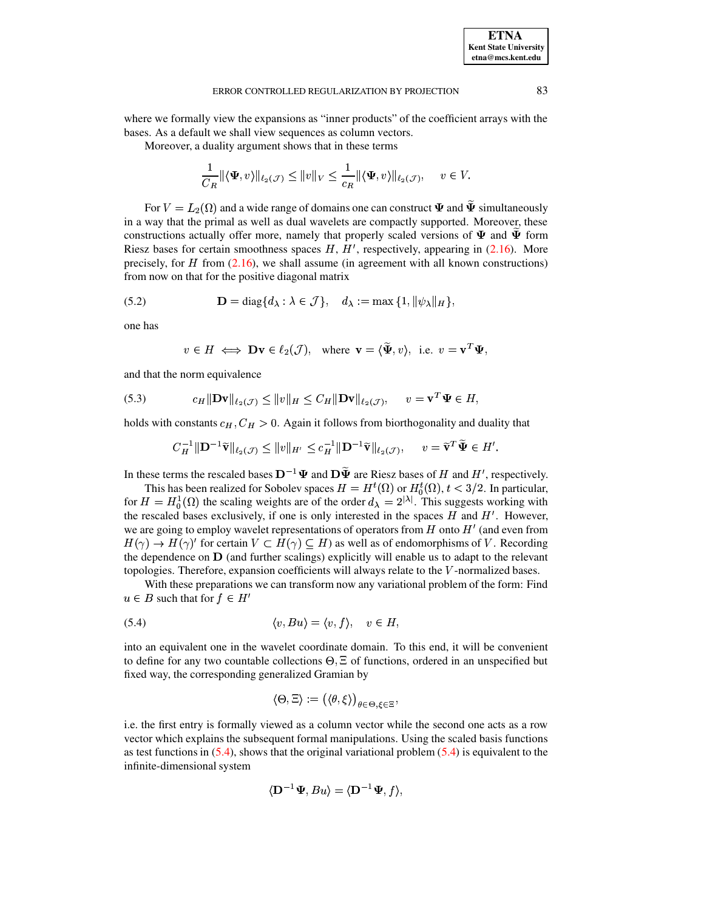where we formally view the expansions as "inner products" of the coefficient arrays with the bases. As a default we shall view sequences as column vectors.

Moreover, a duality argument shows that in these terms

$$
\frac{1}{C_R} \|\langle \Psi, v \rangle\|_{\ell_2(\mathcal{J})} \le \|v\|_V \le \frac{1}{c_R} \|\langle \Psi, v \rangle\|_{\ell_2(\mathcal{J})}, \quad v \in V.
$$

For  $V = L_2(\Omega)$  and a wide range of domains one can construct  $\Psi$  and  $\tilde{\Psi}$  simultaneously in a way that the primal as well as dual wavelets are compactly supported. Moreover, these constructions actually offer more, namely that properly scaled versions of  $\Psi$  and  $\Psi$  form Riesz bases for certain smoothness spaces  $H, H'$ , respectively, appearing in (2.16). More precisely, for  $H$  from (2.16), we shall assume (in agreement with all known constructions) from now on that for the positive diagonal matrix

(5.2) 
$$
\mathbf{D} = \text{diag}\{d_{\lambda} : \lambda \in \mathcal{J}\}, \quad d_{\lambda} := \max\{1, \|\psi_{\lambda}\|_{H}\},
$$

one has

<span id="page-16-2"></span><span id="page-16-1"></span>
$$
v \in H \iff \mathbf{D}v \in \ell_2(\mathcal{J}), \text{ where } v = \langle \tilde{\Psi}, v \rangle, \text{ i.e. } v = v^T \Psi,
$$

and that the norm equivalence

(5.3) 
$$
c_H \|\mathbf{D} \mathbf{v}\|_{\ell_2(\mathcal{J})} \leq \|v\|_H \leq C_H \|\mathbf{D} \mathbf{v}\|_{\ell_2(\mathcal{J})}, \quad v = \mathbf{v}^T \mathbf{\Psi} \in H,
$$

holds with constants  $c_H$ ,  $C_H > 0$ . Again it follows from biorthogonality and duality that

$$
C_H^{-1} \|\mathbf{D}^{-1}\widetilde{\mathbf{v}}\|_{\ell_2(\mathcal{J})} \leq \|v\|_{H'} \leq c_H^{-1} \|\mathbf{D}^{-1}\widetilde{\mathbf{v}}\|_{\ell_2(\mathcal{J})}, \quad v = \widetilde{\mathbf{v}}^T \widetilde{\mathbf{\Psi}} \in H'.
$$

In these terms the rescaled bases  $D^{-1}\Psi$  and  $D\tilde{\Psi}$  are Riesz bases of H and H', respectively.

This has been realized for Sobolev spaces  $H = H^t(\Omega)$  or  $H_0^t(\Omega)$ ,  $t < 3/2$ . In particular, for  $H = H_0^1(\Omega)$  the scaling weights are of the order  $d_{\lambda} = 2^{|\lambda|}$ . This suggests working with the rescaled bases exclusively, if one is only interested in the spaces  $H$  and  $H'$ . However, we are going to employ wavelet representations of operators from  $H$  onto  $H'$  (and even from  $H(\gamma) \to H(\gamma)'$  for certain  $V \subset H(\gamma) \subseteq H$ ) as well as of endomorphisms of V. Recording the dependence on  $\bf{D}$  (and further scalings) explicitly will enable us to adapt to the relevant topologies. Therefore, expansion coefficients will always relate to the  $V$ -normalized bases.

<span id="page-16-0"></span>With these preparations we can transform now any variational problem of the form: Find  $u \in B$  such that for  $f \in H'$ 

$$
(5.4) \t\t \langle v, Bu \rangle = \langle v, f \rangle, \t v \in H,
$$

into an equivalent one in the wavelet coordinate domain. To this end, it will be convenient to define for any two countable collections  $\Theta$ ,  $\Xi$  of functions, ordered in an unspecified but fixed way, the corresponding generalized Gramian by

$$
\langle \Theta, \Xi \rangle := \left( \langle \theta, \xi \rangle \right)_{\theta \in \Theta, \xi \in \Xi}
$$

i.e. the first entry is formally viewed as a column vector while the second one acts as a row vector which explains the subsequent formal manipulations. Using the scaled basis functions as test functions in  $(5.4)$ , shows that the original variational problem  $(5.4)$  is equivalent to the infinite-dimensional system

$$
\langle \mathbf{D}^{-1} \mathbf{\Psi}, Bu \rangle = \langle \mathbf{D}^{-1} \mathbf{\Psi}, f \rangle,
$$

83

**ETNA Kent State University**  $etna@mcs. kent.edu$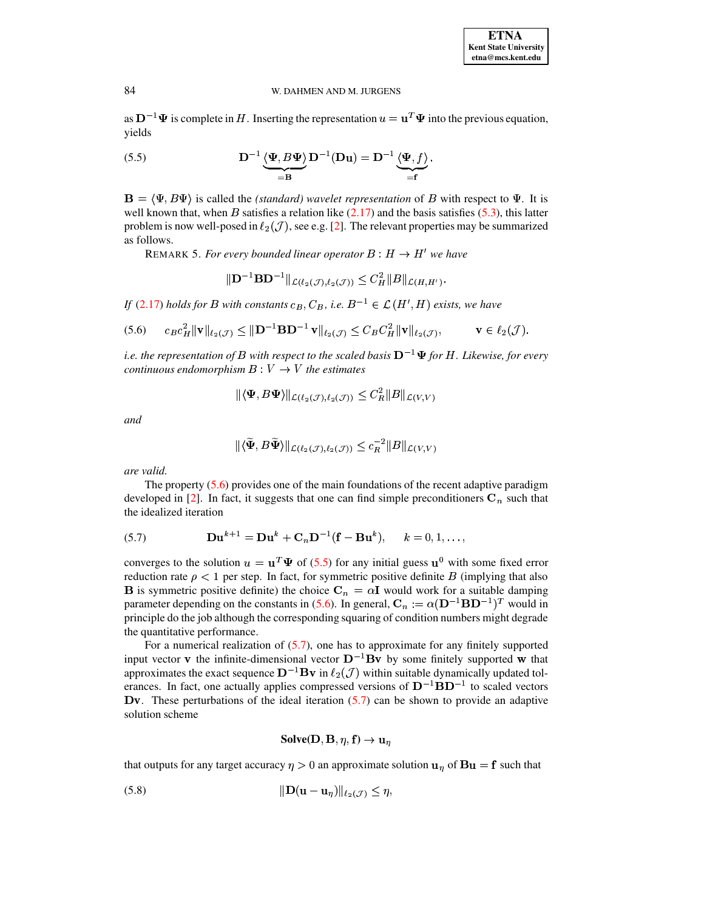<span id="page-17-1"></span>as  $\mathbf{D}^{-1}\Psi$  is complete in H. Inserting the representation  $u = \mathbf{u}^T \Psi$  into the previous equation, yields

(5.5) 
$$
\mathbf{D}^{-1} \underbrace{\langle \mathbf{\Psi}, B \mathbf{\Psi} \rangle}_{=\mathbf{B}} \mathbf{D}^{-1} (\mathbf{D} \mathbf{u}) = \mathbf{D}^{-1} \underbrace{\langle \mathbf{\Psi}, f \rangle}_{=\mathbf{f}}.
$$

<span id="page-17-3"></span> $\mathbf{B} = \langle \Psi, B\Psi \rangle$  is called the *(standard)* wavelet representation of B with respect to  $\Psi$ . It is well known that, when B satisfies a relation like  $(2.17)$  and the basis satisfies  $(5.3)$ , this latter problem is now well-posed in  $\ell_2(\mathcal{J})$ , see e.g. [2]. The relevant properties may be summarized as follows.

REMARK 5. For every bounded linear operator  $B : H \to H'$  we have

<span id="page-17-0"></span>
$$
\|\mathbf{D}^{-1}\mathbf{B}\mathbf{D}^{-1}\|_{\mathcal{L}(\ell_2(\mathcal{J}),\ell_2(\mathcal{J}))} \leq C_H^2 \|B\|_{\mathcal{L}(H,H')}.
$$

If (2.17) holds for B with constants  $c_B$ ,  $C_B$ , i.e.  $B^{-1} \in \mathcal{L}(H', H)$  exists, we have

$$
(5.6) \t c_B c_H^2 \|\mathbf{v}\|_{\ell_2(\mathcal{J})} \le \|\mathbf{D}^{-1}\mathbf{B}\mathbf{D}^{-1}\mathbf{v}\|_{\ell_2(\mathcal{J})} \le C_B C_H^2 \|\mathbf{v}\|_{\ell_2(\mathcal{J})}, \t\mathbf{v} \in \ell_2(\mathcal{J})
$$

i.e. the representation of B with respect to the scaled basis  $D^{-1}\Psi$  for H. Likewise, for every continuous endomorphism  $B: V \to V$  the estimates

$$
\|\langle \Psi, B\Psi \rangle\|_{\mathcal{L}(\ell_2(\mathcal{J}), \ell_2(\mathcal{J}))} \leq C_R^2 \|B\|_{\mathcal{L}(V, V)}
$$

and

$$
\|\langle \Psi, B\Psi \rangle\|_{\mathcal{L}(\ell_2(\mathcal{J}), \ell_2(\mathcal{J}))} \leq c_R^{-2} \|B\|_{\mathcal{L}(V, V)}
$$

are valid.

<span id="page-17-2"></span>The property  $(5.6)$  provides one of the main foundations of the recent adaptive paradigm developed in [2]. In fact, it suggests that one can find simple preconditioners  $C_n$  such that the idealized iteration

(5.7) 
$$
\mathbf{D} \mathbf{u}^{k+1} = \mathbf{D} \mathbf{u}^k + \mathbf{C}_n \mathbf{D}^{-1} (\mathbf{f} - \mathbf{B} \mathbf{u}^k), \quad k = 0, 1, ...
$$

converges to the solution  $u = \mathbf{u}^T \Psi$  of (5.5) for any initial guess  $\mathbf{u}^0$  with some fixed error reduction rate  $\rho < 1$  per step. In fact, for symmetric positive definite B (implying that also **B** is symmetric positive definite) the choice  $C_n = \alpha I$  would work for a suitable damping parameter depending on the constants in (5.6). In general,  $C_n := \alpha (D^{-1}BD^{-1})^T$  would in principle do the job although the corresponding squaring of condition numbers might degrade the quantitative performance.

For a numerical realization of  $(5.7)$ , one has to approximate for any finitely supported input vector **v** the infinite-dimensional vector  $D^{-1}Bv$  by some finitely supported **w** that approximates the exact sequence  $\mathbf{D}^{-1}$ **Bv** in  $\ell_2(\mathcal{J})$  within suitable dynamically updated tolerances. In fact, one actually applies compressed versions of  $D^{-1}BD^{-1}$  to scaled vectors Dv. These perturbations of the ideal iteration  $(5.7)$  can be shown to provide an adaptive solution scheme

<span id="page-17-4"></span>Solve(
$$
\mathbf{D}, \mathbf{B}, \eta, \mathbf{f}
$$
)  $\rightarrow \mathbf{u}_{\eta}$ 

that outputs for any target accuracy  $\eta > 0$  an approximate solution  $\mathbf{u}_{\eta}$  of  $\mathbf{B}\mathbf{u} = \mathbf{f}$  such that

84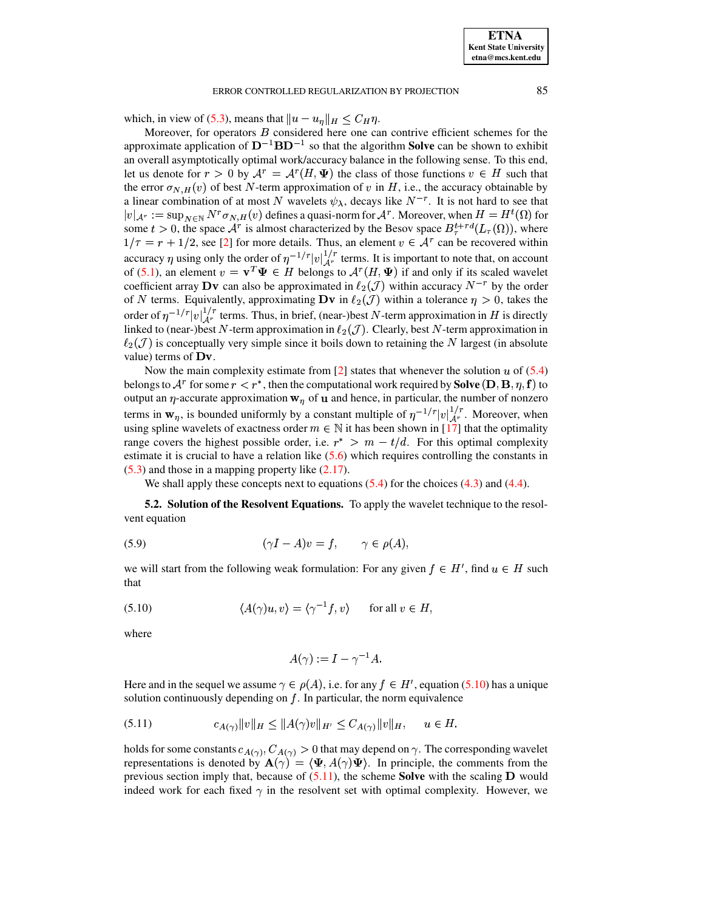which, in view of (5.3), means that  $||u - u_{\eta}||_H \leq C_H \eta$ .

Moreover, for operators  $B$  considered here one can contrive efficient schemes for the approximate application of  $D^{-1}BD^{-1}$  so that the algorithm **Solve** can be shown to exhibit an overall asymptotically optimal work/accuracy balance in the following sense. To this end, let us denote for  $r > 0$  by  $A^r = A^r(H, \Psi)$  the class of those functions  $v \in H$  such that the error  $\sigma_{N,H}(v)$  of best N-term approximation of v in H, i.e., the accuracy obtainable by a linear combination of at most N wavelets  $\psi_{\lambda}$ , decays like  $N^{-r}$ . It is not hard to see that  $|v|_{\mathcal{A}^r} := \sup_{N \in \mathbb{N}} N^r \sigma_{N,H}(v)$  defines a quasi-norm for  $\mathcal{A}^r$ . Moreover, when  $H = H^t(\Omega)$  for some  $t > 0$ , the space  $A^r$  is almost characterized by the Besov space  $B^{t+rd}_\tau(L_\tau(\Omega))$ , where  $1/\tau = r + 1/2$ , see [2] for more details. Thus, an element  $v \in A^r$  can be recovered within accuracy  $\eta$  using only the order of  $\eta^{-1/r}|v|_{\mathcal{A}^r}^{1/r}$  terms. It is important to note that, on account of (5.1), an element  $v = \mathbf{v}^T \mathbf{\Psi} \in H$  belongs to  $\mathcal{A}^r(H, \mathbf{\Psi})$  if and only if its scaled wavelet coefficient array **Dv** can also be approximated in  $\ell_2(\mathcal{J})$  within accuracy  $N^{-r}$  by the order of N terms. Equivalently, approximating  $\mathbf{D}v$  in  $\ell_2(\mathcal{J})$  within a tolerance  $\eta > 0$ , takes the order of  $\eta^{-1/r}|v|_{\mathcal{A}^r}^{1/r}$  terms. Thus, in brief, (near-)best N-term approximation in H is directly linked to (near-)best N-term approximation in  $\ell_2(\mathcal{J})$ . Clearly, best N-term approximation in  $\ell_2(\mathcal{J})$  is conceptually very simple since it boils down to retaining the N largest (in absolute value) terms of  $Dv$ .

Now the main complexity estimate from [2] states that whenever the solution  $u$  of (5.4) belongs to  $\mathcal{A}^r$  for some  $r < r^*$ , then the computational work required by **Solve** (**D**, **B**,  $\eta$ , **f**) to output an  $\eta$ -accurate approximation  $w_{\eta}$  of **u** and hence, in particular, the number of nonzero terms in  $\mathbf{w}_{\eta}$ , is bounded uniformly by a constant multiple of  $\eta^{-1/r} |v|_{\mathcal{A}^r}^{1/r}$ . Moreover, when using spline wavelets of exactness order  $m \in \mathbb{N}$  it has been shown in [17] that the optimality range covers the highest possible order, i.e.  $r^*$  >  $m - t/d$ . For this optimal complexity estimate it is crucial to have a relation like  $(5.6)$  which requires controlling the constants in  $(5.3)$  and those in a mapping property like  $(2.17)$ .

We shall apply these concepts next to equations  $(5.4)$  for the choices  $(4.3)$  and  $(4.4)$ .

<span id="page-18-2"></span>**5.2. Solution of the Resolvent Equations.** To apply the wavelet technique to the resolvent equation

(5.9) 
$$
(\gamma I - A)v = f, \qquad \gamma \in \rho(A),
$$

<span id="page-18-0"></span>we will start from the following weak formulation: For any given  $f \in H'$ , find  $u \in H$  such that

(5.10) 
$$
\langle A(\gamma)u, v \rangle = \langle \gamma^{-1}f, v \rangle \quad \text{for all } v \in H,
$$

where

<span id="page-18-1"></span>
$$
A(\gamma):=I-\gamma^{-1}A.
$$

Here and in the sequel we assume  $\gamma \in \rho(A)$ , i.e. for any  $f \in H'$ , equation (5.10) has a unique solution continuously depending on  $f$ . In particular, the norm equivalence

$$
(5.11) \t c_{A(\gamma)} \|v\|_H \le \|A(\gamma)v\|_{H'} \le C_{A(\gamma)} \|v\|_H, \quad u \in H.
$$

holds for some constants  $c_{A(\gamma)}, C_{A(\gamma)} > 0$  that may depend on  $\gamma$ . The corresponding wavelet representations is denoted by  $\mathbf{A}(\gamma) = \langle \Psi, A(\gamma)\Psi \rangle$ . In principle, the comments from the previous section imply that, because of  $(5.11)$ , the scheme **Solve** with the scaling **D** would indeed work for each fixed  $\gamma$  in the resolvent set with optimal complexity. However, we

85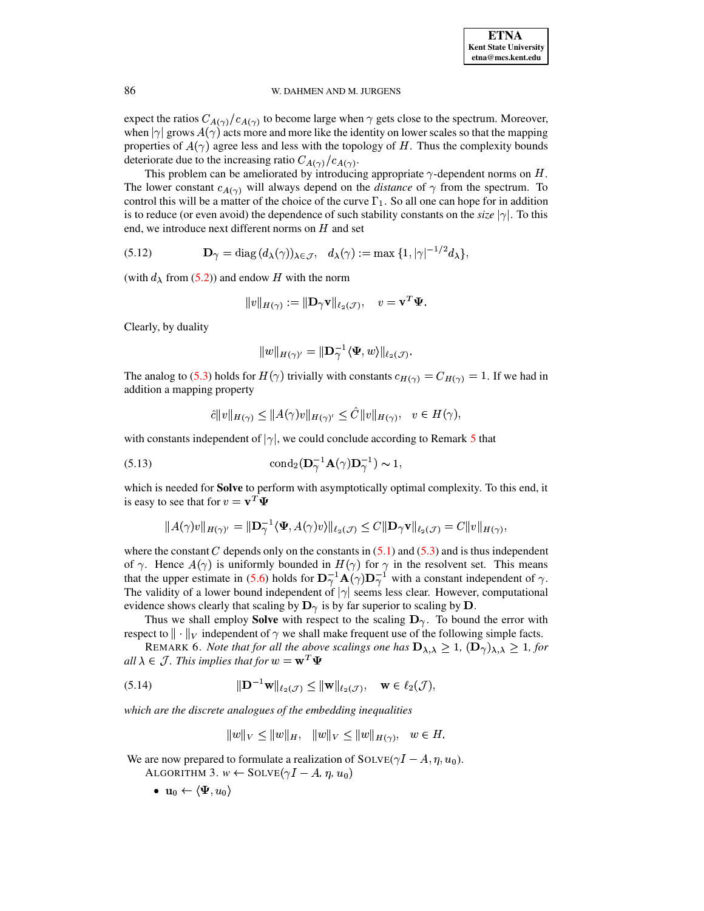expect the ratios  $C_{A(\gamma)}/c_{A(\gamma)}$  to become large when  $\gamma$  gets close to the spectrum. Moreover, when  $|\gamma|$  grows  $A(\gamma)$  acts more and more like the identity on lower scales so that the mapping properties of  $A(\gamma)$  agree less and less with the topology of H. Thus the complexity bounds deteriorate due to the increasing ratio  $C_{A(\gamma)}/c_{A(\gamma)}$ .

This problem can be ameliorated by introducing appropriate  $\gamma$ -dependent norms on H. The lower constant  $c_{A(\gamma)}$  will always depend on the *distance* of  $\gamma$  from the spectrum. To control this will be a matter of the choice of the curve  $\Gamma_1$ . So all one can hope for in addition is to reduce (or even avoid) the dependence of such stability constants on the *size*  $|\gamma|$ . To this end, we introduce next different norms on  $H$  and set

(5.12) 
$$
\mathbf{D}_{\gamma} = \text{diag}(d_{\lambda}(\gamma))_{\lambda \in \mathcal{J}}, \quad d_{\lambda}(\gamma) := \max\{1, |\gamma|^{-1/2} d_{\lambda}\}\
$$

(with  $d_{\lambda}$  from (5.2)) and endow H with the norm

<span id="page-19-2"></span>
$$
||v||_{H(\gamma)} := ||\mathbf{D}_{\gamma}\mathbf{v}||_{\ell_2(\mathcal{J})}, \quad v = \mathbf{v}^T \mathbf{\Psi}.
$$

Clearly, by duality

<span id="page-19-3"></span>
$$
|w\|_{H(\gamma)'}=\|\mathbf{D}_\gamma^{-1}\langle \mathbf{\Psi},w\rangle\|_{\ell_2(\mathcal{J})}.
$$

The analog to (5.3) holds for  $H(\gamma)$  trivially with constants  $c_{H(\gamma)} = C_{H(\gamma)} = 1$ . If we had in addition a mapping property

$$
\hat{c}||v||_{H(\gamma)} \le ||A(\gamma)v||_{H(\gamma)'} \le \hat{C}||v||_{H(\gamma)}, \quad v \in H(\gamma),
$$

with constants independent of  $|\gamma|$ , we could conclude according to Remark 5 that

(5.13) 
$$
\text{cond}_2(\mathbf{D}_\gamma^{-1}\mathbf{A}(\gamma)\mathbf{D}_\gamma^{-1}) \sim 1
$$

which is needed for **Solve** to perform with asymptotically optimal complexity. To this end, it is easy to see that for  $v = \mathbf{v}^T \mathbf{\Psi}$ 

$$
||A(\gamma)v||_{H(\gamma)} = ||\mathbf{D}_{\gamma}^{-1} \langle \mathbf{\Psi}, A(\gamma)v \rangle||_{\ell_2(\mathcal{J})} \leq C ||\mathbf{D}_{\gamma} \mathbf{v}||_{\ell_2(\mathcal{J})} = C ||v||_{H(\gamma)},
$$

where the constant C depends only on the constants in  $(5.1)$  and  $(5.3)$  and is thus independent of  $\gamma$ . Hence  $A(\gamma)$  is uniformly bounded in  $H(\gamma)$  for  $\gamma$  in the resolvent set. This means that the upper estimate in (5.6) holds for  $\mathbf{D}_{\gamma}^{-1} \mathbf{A}(\gamma) \mathbf{D}_{\gamma}^{-1}$  with a constant independent of  $\gamma$ . The validity of a lower bound independent of  $|\gamma|$  seems less clear. However, computational evidence shows clearly that scaling by  $\mathbf{D}_{\gamma}$  is by far superior to scaling by  $\mathbf{D}$ .

Thus we shall employ **Solve** with respect to the scaling  $D_{\gamma}$ . To bound the error with respect to  $\|\cdot\|_V$  independent of  $\gamma$  we shall make frequent use of the following simple facts.

REMARK 6. Note that for all the above scalings one has  $\mathbf{D}_{\lambda,\lambda} \geq 1$ ,  $(\mathbf{D}_{\gamma})_{\lambda,\lambda} \geq 1$ , for all  $\lambda \in \mathcal{J}$ . This implies that for  $w = \mathbf{w}^T \mathbf{\Psi}$ 

(5.14) 
$$
\|\mathbf{D}^{-1}\mathbf{w}\|_{\ell_2(\mathcal{J})} \le \|\mathbf{w}\|_{\ell_2(\mathcal{J})}, \quad \mathbf{w} \in \ell_2(\mathcal{J}),
$$

which are the discrete analogues of the embedding inequalities

<span id="page-19-1"></span><span id="page-19-0"></span> $||w||_V \le ||w||_H$ ,  $||w||_V \le ||w||_{H(\gamma)}, w \in H$ .

We are now prepared to formulate a realization of  $SOLVE(\gamma I - A, \eta, u_0)$ .

ALGORITHM 3.  $w \leftarrow \text{SOLVE}(\gamma I - A, \eta, u_0)$ 

•  $\mathbf{u}_0 \leftarrow \langle \Psi, u_0 \rangle$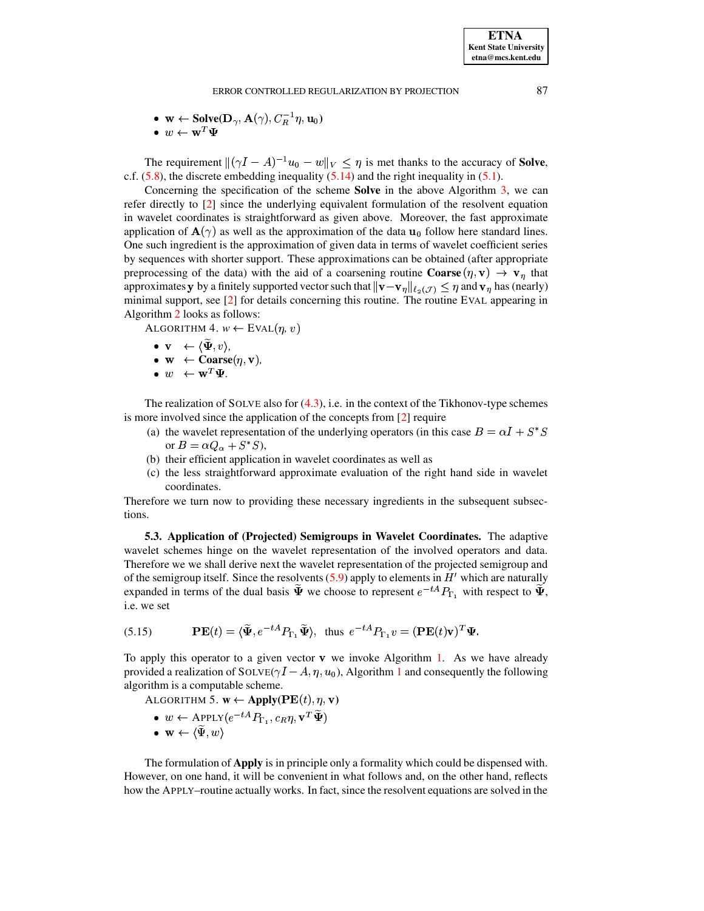• 
$$
\mathbf{w} \leftarrow \text{Solve}(\mathbf{D}_{\gamma}, \mathbf{A}(\gamma), C_R^{-1} \eta, \mathbf{u}_0)
$$

 $\bullet \ w \leftarrow \mathbf{w}^T \mathbf{\Psi}$ 

The requirement  $\|(\gamma I - A)^{-1}u_0 - w\|_V \leq \eta$  is met thanks to the accuracy of **Solve**, c.f.  $(5.8)$ , the discrete embedding inequality  $(5.14)$  and the right inequality in  $(5.1)$ .

Concerning the specification of the scheme **Solve** in the above Algorithm  $3$ , we can refer directly to [2] since the underlying equivalent formulation of the resolvent equation in wavelet coordinates is straightforward as given above. Moreover, the fast approximate application of  $\mathbf{A}(\gamma)$  as well as the approximation of the data  $\mathbf{u}_0$  follow here standard lines. One such ingredient is the approximation of given data in terms of wavelet coefficient series by sequences with shorter support. These approximations can be obtained (after appropriate preprocessing of the data) with the aid of a coarsening routine **Coarse**  $(\eta, \mathbf{v}) \to \mathbf{v}_{\eta}$  that approximates y by a finitely supported vector such that  $\|\mathbf{v}-\mathbf{v}_{\eta}\|_{\ell_2(\mathcal{J})} \leq \eta$  and  $\mathbf{v}_{\eta}$  has (nearly) minimal support, see  $[2]$  for details concerning this routine. The routine EVAL appearing in Algorithm 2 looks as follows:

ALGORITHM 4.  $w \leftarrow$  EVAL $(\eta, v)$ 

- $\bullet \ \mathbf{v} \ \leftarrow \langle \widetilde{\mathbf{\Psi}}, v \rangle.$
- $\mathbf{w} \leftarrow \text{Coarse}(\eta, \mathbf{v}),$ <br>•  $w \leftarrow \mathbf{w}^T \Psi.$
- 

The realization of SOLVE also for  $(4.3)$ , i.e. in the context of the Tikhonov-type schemes is more involved since the application of the concepts from  $[2]$  require

- (a) the wavelet representation of the underlying operators (in this case  $B = \alpha I + S^*S$ or  $B = \alpha Q_{\alpha} + S^* S$ ,
- (b) their efficient application in wavelet coordinates as well as
- (c) the less straightforward approximate evaluation of the right hand side in wavelet coordinates.

Therefore we turn now to providing these necessary ingredients in the subsequent subsections.

5.3. Application of (Projected) Semigroups in Wavelet Coordinates. The adaptive wavelet schemes hinge on the wavelet representation of the involved operators and data. Therefore we we shall derive next the wavelet representation of the projected semigroup and of the semigroup itself. Since the resolvents  $(5.9)$  apply to elements in  $H'$  which are naturally expanded in terms of the dual basis  $\tilde{\Psi}$  we choose to represent  $e^{-tA}P_{\Gamma}$ , with respect to  $\tilde{\Psi}$ , i.e. we set

<span id="page-20-0"></span>(5.15) 
$$
\mathbf{PE}(t) = \langle \widetilde{\Psi}, e^{-tA} P_{\Gamma_1} \widetilde{\Psi} \rangle, \text{ thus } e^{-tA} P_{\Gamma_1} v = (\mathbf{PE}(t)\mathbf{v})^T \Psi.
$$

To apply this operator to a given vector  $\bf{v}$  we invoke Algorithm 1. As we have already provided a realization of SOLVE( $\gamma I - A, \eta, u_0$ ), Algorithm 1 and consequently the following algorithm is a computable scheme.

ALGORITHM 5.  $\mathbf{w} \leftarrow \text{Apply}(\mathbf{PE}(t), \eta, \mathbf{v})$ 

<span id="page-20-1"></span>•  $w \leftarrow \text{APPLY}(e^{-tA}P_{\Gamma_1}, c_R\eta, \mathbf{v}^T\widetilde{\mathbf{\Psi}})$  $\bullet \mathbf{w} \leftarrow \langle \widetilde{\Psi}, w \rangle$ 

The formulation of Apply is in principle only a formality which could be dispensed with. However, on one hand, it will be convenient in what follows and, on the other hand, reflects how the APPLY-routine actually works. In fact, since the resolvent equations are solved in the

87

**ETNA Kent State University**  $etna@mcs. kent.edu$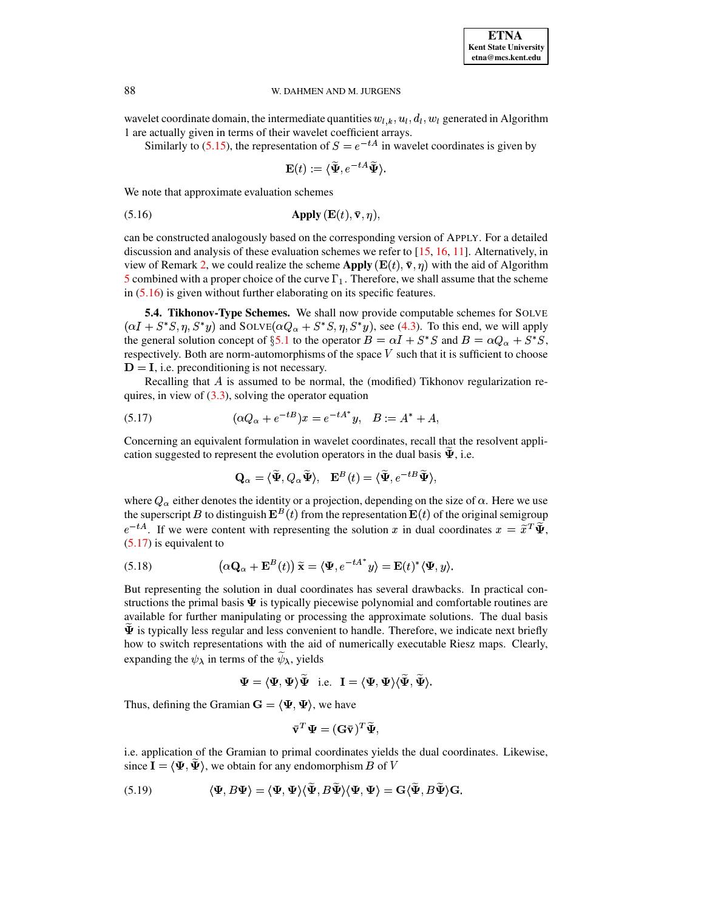wavelet coordinate domain, the intermediate quantities  $w_{l,k}, u_l, d_l, w_l$  generated in Algorithm 1 are actually given in terms of their wavelet coefficient arrays.

Similarly to (5.15), the representation of  $S = e^{-tA}$  in wavelet coordinates is given by

<span id="page-21-0"></span>
$$
\mathbf{E}(t) := \langle \widetilde{\Psi}, e^{-tA} \widetilde{\Psi} \rangle.
$$

We note that approximate evaluation schemes

$$
Apply (E(t), v,  $\eta$ ),
$$

can be constructed analogously based on the corresponding version of APPLY. For a detailed discussion and analysis of these evaluation schemes we refer to  $[15, 16, 11]$ . Alternatively, in view of Remark 2, we could realize the scheme Apply  $(E(t), \bar{v}, \eta)$  with the aid of Algorithm 5 combined with a proper choice of the curve  $\Gamma_1$ . Therefore, we shall assume that the scheme in  $(5.16)$  is given without further elaborating on its specific features.

<span id="page-21-4"></span>5.4. Tikhonov-Type Schemes. We shall now provide computable schemes for SOLVE  $(\alpha I + S^*S, \eta, S^*y)$  and  $SOLVE(\alpha Q_{\alpha} + S^*S, \eta, S^*y)$ , see (4.3). To this end, we will apply the general solution concept of §5.1 to the operator  $B = \alpha I + S^*S$  and  $B = \alpha Q_{\alpha} + S^*S$ , respectively. Both are norm-automorphisms of the space  $V$  such that it is sufficient to choose  $D = I$ , i.e. preconditioning is not necessary.

Recalling that  $A$  is assumed to be normal, the (modified) Tikhonov regularization requires, in view of  $(3.3)$ , solving the operator equation

(5.17) 
$$
(\alpha Q_{\alpha} + e^{-tB})x = e^{-tA^*}y, \quad B := A^* + A
$$

Concerning an equivalent formulation in wavelet coordinates, recall that the resolvent application suggested to represent the evolution operators in the dual basis  $\Psi$ , i.e.

<span id="page-21-1"></span>
$$
\mathbf{Q}_{\alpha}=\langle \widetilde{\mathbf{\Psi}},Q_{\alpha}\widetilde{\mathbf{\Psi}}\rangle,\ \ \, \mathbf{E}^{B}(t)=\langle \widetilde{\mathbf{\Psi}},e^{-tB}\widetilde{\mathbf{\Psi}}\rangle,
$$

where  $Q_{\alpha}$  either denotes the identity or a projection, depending on the size of  $\alpha$ . Here we use the superscript B to distinguish  $\mathbf{E}^{B}(t)$  from the representation  $\mathbf{E}(t)$  of the original semigroup  $e^{-tA}$ . If we were content with representing the solution x in dual coordinates  $x = \tilde{x}^T \tilde{\Psi}$ ,  $(5.17)$  is equivalent to

<span id="page-21-3"></span>(5.18) 
$$
\left(\alpha \mathbf{Q}_{\alpha} + \mathbf{E}^{B}(t)\right) \widetilde{\mathbf{x}} = \langle \mathbf{\Psi}, e^{-tA^{*}} y \rangle = \mathbf{E}(t)^{*} \langle \mathbf{\Psi}, y \rangle
$$

But representing the solution in dual coordinates has several drawbacks. In practical constructions the primal basis  $\Psi$  is typically piecewise polynomial and comfortable routines are available for further manipulating or processing the approximate solutions. The dual basis  $\Psi$  is typically less regular and less convenient to handle. Therefore, we indicate next briefly how to switch representations with the aid of numerically executable Riesz maps. Clearly, expanding the  $\psi_{\lambda}$  in terms of the  $\widetilde{\psi}_{\lambda}$ , yields

$$
\mathbf{\Psi} = \langle \mathbf{\Psi}, \mathbf{\Psi} \rangle \mathbf{\Psi} \quad \text{i.e.} \quad \mathbf{I} = \langle \mathbf{\Psi}, \mathbf{\Psi} \rangle \langle \mathbf{\Psi}, \mathbf{\Psi} \rangle.
$$

Thus, defining the Gramian  $\mathbf{G} = \langle \Psi, \Psi \rangle$ , we have

<span id="page-21-2"></span>
$$
\bar{\mathbf{v}}^T \mathbf{\Psi} = (\mathbf{G}\bar{\mathbf{v}})^T \widetilde{\mathbf{\Psi}},
$$

i.e. application of the Gramian to primal coordinates yields the dual coordinates. Likewise, since  $I = \langle \Psi, \overline{\Psi} \rangle$ , we obtain for any endomorphism B of V

(5.19) 
$$
\langle \Psi, B\Psi \rangle = \langle \Psi, \Psi \rangle \langle \tilde{\Psi}, B\tilde{\Psi} \rangle \langle \Psi, \Psi \rangle = \mathbf{G} \langle \tilde{\Psi}, B\tilde{\Psi} \rangle \mathbf{G}.
$$

88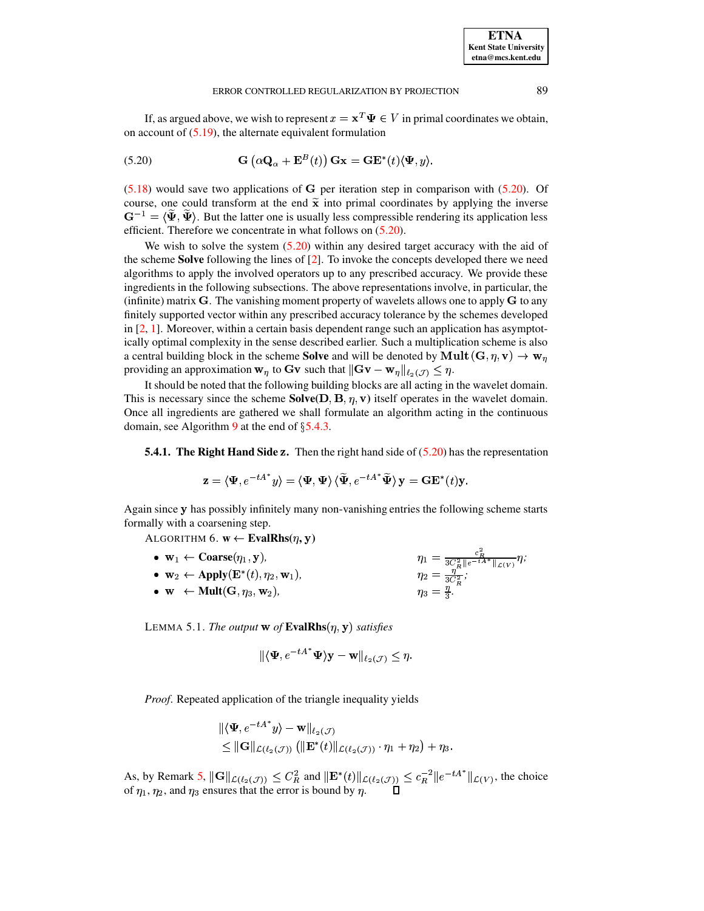<span id="page-22-0"></span>If, as argued above, we wish to represent  $x = x^T \Psi \in V$  in primal coordinates we obtain, on account of [\(5.19\)](#page-21-2), the alternate equivalent formulation

(5.20) 
$$
\mathbf{G}\left(\alpha\mathbf{Q}_{\alpha} + \mathbf{E}^{B}(t)\right)\mathbf{G}\mathbf{x} = \mathbf{G}\mathbf{E}^{*}(t)\langle\Psi, y\rangle.
$$

 $(5.18)$  would save two applications of G per iteration step in comparison with  $(5.20)$ . Of course, one could transform at the end  $\tilde{\mathbf{x}}$  into primal coordinates by applying the inverse  $\mathbf{G}^{-1} = \langle \tilde{\Psi}, \tilde{\Psi} \rangle$ . But the latter one is usually less compressible rendering its application less efficient. Therefore we concentrate in what follows on [\(5.20\)](#page-22-0).

We wish to solve the system  $(5.20)$  within any desired target accuracy with the aid of the scheme **Solve** following the lines of [\[2\]](#page-32-1). To invoke the concepts developed there we need algorithms to apply the involved operators up to any prescribed accuracy. We provide these ingredients in the following subsections. The above representations involve, in particular, the (infinite) matrix  $\bf{G}$ . The vanishing moment property of wavelets allows one to apply  $\bf{G}$  to any finitely supported vector within any prescribed accuracy tolerance by the schemes developed in  $[2, 1]$  $[2, 1]$  $[2, 1]$ . Moreover, within a certain basis dependent range such an application has asymptotically optimal complexity in the sense described earlier. Such a multiplication scheme is also a central building block in the scheme **Solve** and will be denoted by  $\mathbf{Mult}\left(\mathbf{G},\eta,\mathbf{v}\right)\rightarrow\mathbf{w}_{\eta}$ providing an approximation  $\mathbf{w}_{\eta}$  to  $\mathbf{G}\mathbf{v}$  such that  $\|\mathbf{G}\mathbf{v}-\mathbf{w}_{\eta}\|_{\ell_2(\mathcal{J})}\leq \eta$ .

<span id="page-22-2"></span>It should be noted that the following building blocks are all acting in the wavelet domain. This is necessary since the scheme  $Solve(D, B, \eta, v)$  itself operates in the wavelet domain. Once all ingredients are gathered we shall formulate an algorithm acting in the continuous domain, see Algorithm [9](#page-24-1) at the end of  $\S$ [5.4.3.](#page-23-0)

**5.4.1.** The Right Hand Side z. Then the right hand side of  $(5.20)$  has the representation

$$
\mathbf{z}=\langle \mathbf{\Psi}, e^{-tA^*}y\rangle=\langle \mathbf{\Psi}, \mathbf{\Psi}\rangle \, \langle \widetilde{\mathbf{\Psi}}, e^{-tA^*} \widetilde{\mathbf{\Psi}}\rangle \, \mathbf{y}=\mathbf{G}\mathbf{E}^*(t)\mathbf{y}.
$$

Again since y has possibly infinitely many non-vanishing entries the following scheme starts formally with a coarsening step.

ALGORITHM  $6. \text{ } \textbf{w} \leftarrow \textbf{EvalRhs}(\eta, \textbf{y})$ 

•  $\mathbf{w}_1 \leftarrow \mathbf{Coarse}(\eta_1, \mathbf{y}),$ *,*  $\eta_1 = \frac{c_R}{3C_R^2 \|e^{-tA^*}\|_{\mathcal{L}(V)}} \eta;$ •  $\mathbf{w}_2 \leftarrow \text{Apply}(\mathbf{E}^*(t), \eta_2, \mathbf{w}_1),$  $\eta_2 = \frac{\eta}{3C^2}$ ; *;*  $\bullet \ \mathbf{w} \ \leftarrow \text{Mult}(\mathbf{G},\eta_3,\mathbf{w}_2),$ *,*  $\eta_3 = \frac{\eta}{3}$ .

<span id="page-22-1"></span>LEMMA 5.1. *The output*  $\bf{w}$  of  $\bf{EvalRhs}$  $(\eta, \bf{y})$  satisfies

$$
\|\langle \mathbf{\Psi}, e^{-tA^*}\mathbf{\Psi}\rangle \mathbf{y} - \mathbf{w}\|_{\ell_2(\mathcal{J})} \leq \eta.
$$

 $\mathbb{R}^2$ 

*Proof*. Repeated application of the triangle inequality yields

$$
\begin{aligned} &\|\langle \mathbf{\Psi}, e^{-tA^*}y\rangle - \mathbf{w}\|_{\ell_2(\mathcal{J})} \\ &\leq \|\mathbf{G}\|_{\mathcal{L}(\ell_2(\mathcal{J}))}\left(\|\mathbf{E}^*(t)\|_{\mathcal{L}(\ell_2(\mathcal{J}))}\cdot \eta_1 + \eta_2\right) + \eta_3. \end{aligned}
$$

As, by Remark [5,](#page-17-3)  $\|\mathbf{G}\|_{\mathcal{L}(\ell_2(\mathcal{J}))} \leq C_R^2$  a  $g(\mathcal{J}_1) \leq C_R^2$  and  $\|\mathbf{E}^*(t)\|_{\mathcal{L}(\ell_2(\mathcal{J}))} \leq \epsilon$  $\langle \sigma_{(J)} \rangle \leq c_R^{-2} \|e^{-tA^*}\|_{\mathcal{L}(V)}$ , the choice of  $\eta_1, \eta_2$ , and  $\eta_3$  ensures that the error is bound by  $\eta$ .  $\Box$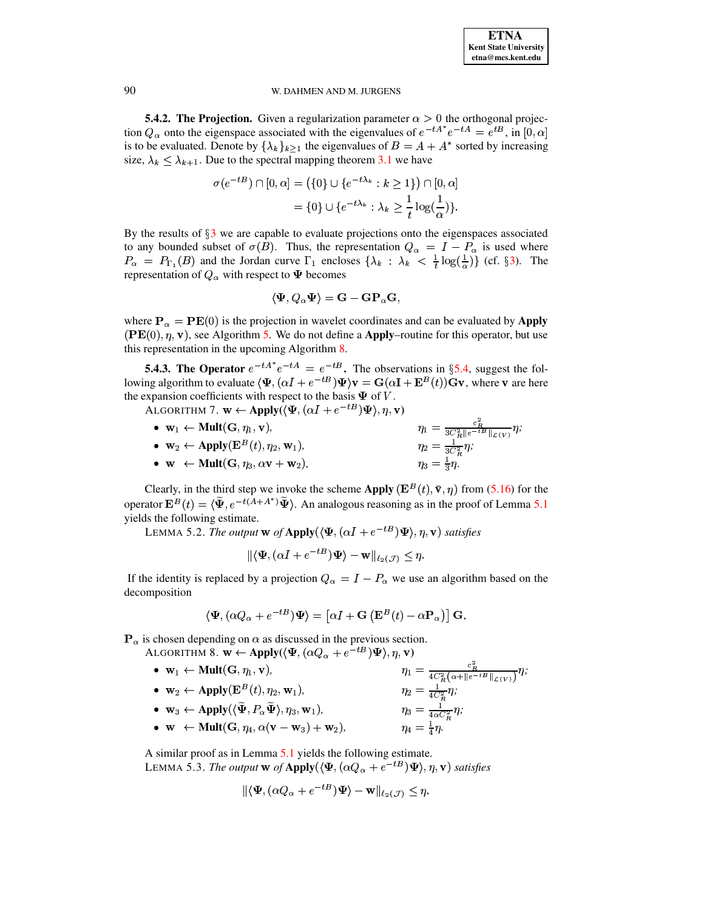**5.4.2. The Projection.** Given a regularization parameter  $\alpha > 0$  the orthogonal projection  $Q_{\alpha}$  onto the eigenspace associated with the eigenvalues of  $e^{-tA^*}e^{-tA} = e^{tB}$ , in [0,  $\alpha$ ] is to be evaluated. Denote by  $\{\lambda_k\}_{k>1}$  the eigenvalues of  $B = A + A^*$  sorted by increasing size,  $\lambda_k \leq \lambda_{k+1}$ . Due to the spectral mapping theorem 3.1 we have

$$
\sigma(e^{-tB}) \cap [0, \alpha] = (\{0\} \cup \{e^{-t\lambda_k} : k \ge 1\}) \cap [0, \alpha]
$$
  
=  $\{0\} \cup \{e^{-t\lambda_k} : \lambda_k \ge \frac{1}{t} \log(\frac{1}{\alpha})\}.$ 

By the results of  $\S$ 3 we are capable to evaluate projections onto the eigenspaces associated to any bounded subset of  $\sigma(B)$ . Thus, the representation  $Q_{\alpha} = I - P_{\alpha}$  is used where  $P_{\alpha} = P_{\Gamma_1}(B)$  and the Jordan curve  $\Gamma_1$  encloses  $\{\lambda_k : \lambda_k < \frac{1}{t} \log(\frac{1}{\alpha})\}$  (cf. §3). The representation of  $Q_{\alpha}$  with respect to  $\Psi$  becomes

$$
\langle \mathbf{\Psi}, Q_{\alpha} \mathbf{\Psi} \rangle = \mathbf{G} - \mathbf{G} \mathbf{P}_{\alpha} \mathbf{G},
$$

where  $P_{\alpha} = PE(0)$  is the projection in wavelet coordinates and can be evaluated by Apply  $(PE(0), \eta, v)$ , see Algorithm 5. We do not define a **Apply**-routine for this operator, but use this representation in the upcoming Algorithm 8.

<span id="page-23-0"></span>**5.4.3. The Operator**  $e^{-tA^*}e^{-tA} = e^{-tB}$ . The observations in §5.4, suggest the following algorithm to evaluate  $\langle \Psi, (\alpha I + e^{-tB})\Psi \rangle v = G(\alpha I + E^{B}(t))Gv$ , where v are here the expansion coefficients with respect to the basis  $\Psi$  of V.

ALGORITHM 7.  $\mathbf{w} \leftarrow \text{Apply}(\langle \mathbf{\Psi}, (\alpha I + e^{-tB}) \mathbf{\Psi} \rangle, \eta, \mathbf{v})$ 

 $\begin{array}{l} \eta_1=\frac{c_R^2}{3C_R^2\|e^{-tB}\|_{\mathcal{L}(V)}}\eta;\\ \eta_2=\frac{1}{3C_R^2}\eta;\\ \eta_3=\frac{1}{3}\eta. \end{array}$ •  $\mathbf{w}_1 \leftarrow \text{Mult}(\mathbf{G}, \eta_1, \mathbf{v}),$ •  $\mathbf{w}_2 \leftarrow \text{Apply}(\mathbf{E}^B(t), \eta_2, \mathbf{w}_1),$ •  $\mathbf{w} \leftarrow \text{Mult}(\mathbf{G}, \eta_3, \alpha \mathbf{v} + \mathbf{w}_2).$ 

Clearly, in the third step we invoke the scheme Apply  $(\mathbf{E}^{B}(t), \bar{\mathbf{v}}, \eta)$  from (5.16) for the operator  $\mathbf{E}^{B}(t) = \langle \tilde{\Psi}, e^{-t(A+A^*)}\tilde{\Psi} \rangle$ . An analogous reasoning as in the proof of Lemma 5.1 yields the following estimate.

LEMMA 5.2. The output w of Apply( $\langle \Psi, (\alpha I + e^{-tB})\Psi \rangle, \eta, \mathbf{v}$ ) satisfies

<span id="page-23-1"></span>
$$
\|\langle \mathbf{\Psi}, (\alpha I + e^{-tB})\mathbf{\Psi} \rangle - \mathbf{w}\|_{\ell_2(\mathcal{J})} \leq \eta.
$$

If the identity is replaced by a projection  $Q_{\alpha} = I - P_{\alpha}$  we use an algorithm based on the decomposition

$$
\langle \mathbf{\Psi}, (\alpha Q_{\alpha} + e^{-tB}) \mathbf{\Psi} \rangle = [\alpha I + \mathbf{G} (\mathbf{E}^{B}(t) - \alpha \mathbf{P}_{\alpha})] \mathbf{G}.
$$

 $\mathbf{P}_{\alpha}$  is chosen depending on  $\alpha$  as discussed in the previous section.

ALGORITHM 8.  $\mathbf{w} \leftarrow \text{Apply}(\langle \Psi, (\alpha Q_{\alpha} + e^{-tB}) \Psi \rangle, \eta, \mathbf{v})$ 

 $\eta_1 = \frac{c_R^2}{4C_R^2(\alpha + \|e^{-tB}\|_{\mathcal{L}(V)})}\eta;$ •  $\mathbf{w}_1 \leftarrow \text{Mult}(\mathbf{G}, \eta_1, \mathbf{v}),$  $\eta_2 = \frac{1}{4C_R^2} \eta;$ <br> $\eta_3 = \frac{1}{4C_R^2} \eta;$ •  $\mathbf{w}_2 \leftarrow \text{Apply}(\mathbf{E}^B(t), \eta_2, \mathbf{w}_1),$ •  $\mathbf{w}_2 \leftarrow \text{Apply}(\mathbf{E}^B(t), \eta_2, \mathbf{w}_1),$ <br>
•  $\mathbf{w}_3 \leftarrow \text{Apply}((\widetilde{\Psi}, P_\alpha \widetilde{\Psi}), \eta_3, \mathbf{w}_1),$ •  $\mathbf{w} \leftarrow \text{Mult}(\mathbf{G}, \eta_4, \alpha(\mathbf{v}-\mathbf{w}_3) + \mathbf{w}_2),$  $n_4 = \frac{1}{4}n$ .

A similar proof as in Lemma 5.1 yields the following estimate. LEMMA 5.3. The output w of Apply( $\langle \Psi, (\alpha Q_{\alpha} + e^{-tB})\Psi \rangle, \eta, \mathbf{v}$ ) satisfies

$$
\|\langle \mathbf{\Psi}, (\alpha Q_{\alpha} + e^{-tB})\mathbf{\Psi} \rangle - \mathbf{w}\|_{\ell_2(\mathcal{J})} \leq \eta
$$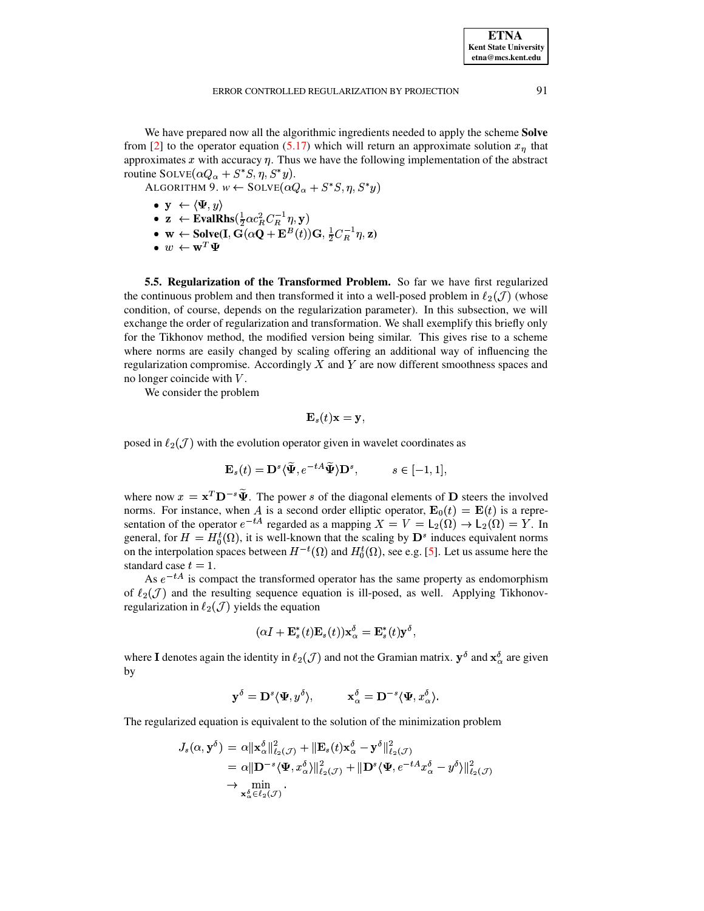$etna@mcs. kent.edu$ 

**ETNA Kent State University** 

We have prepared now all the algorithmic ingredients needed to apply the scheme Solve from [2] to the operator equation (5.17) which will return an approximate solution  $x_n$  that approximates  $x$  with accuracy  $\eta$ . Thus we have the following implementation of the abstract routine SOLVE $(\alpha Q_{\alpha} + S^*S, \eta, S^*y)$ .

ALGORITHM 9.  $w \leftarrow$  SOLVE $(\alpha Q_{\alpha} + S^*S, \eta, S^*y)$ 

- <span id="page-24-1"></span>•  $\mathbf{y} \leftarrow \langle \Psi, y \rangle$ •  $\mathbf{z} \leftarrow \text{EvalRhs}(\frac{1}{2}\alpha c_R^2 C_R^{-1}\eta, \mathbf{y})$ <br>•  $\mathbf{w} \leftarrow \text{Solve}(\mathbf{I}, \mathbf{G}(\alpha \mathbf{Q} + \mathbf{E}^B(t))\mathbf{G}, \frac{1}{2}C_R^{-1}\eta, \mathbf{z})$
- $\bullet$   $w \leftarrow \mathbf{w}^T \mathbf{\Psi}$

<span id="page-24-0"></span>5.5. Regularization of the Transformed Problem. So far we have first regularized the continuous problem and then transformed it into a well-posed problem in  $\ell_2(\mathcal{J})$  (whose condition, of course, depends on the regularization parameter). In this subsection, we will exchange the order of regularization and transformation. We shall exemplify this briefly only for the Tikhonov method, the modified version being similar. This gives rise to a scheme where norms are easily changed by scaling offering an additional way of influencing the regularization compromise. Accordingly  $X$  and  $Y$  are now different smoothness spaces and no longer coincide with  $V$ .

We consider the problem

$$
\mathbf{E}_s(t)\mathbf{x}=\mathbf{y},
$$

posed in  $\ell_2(\mathcal{J})$  with the evolution operator given in wavelet coordinates as

$$
\mathbf{E}_s(t) = \mathbf{D}^s \langle \widetilde{\mathbf{\Psi}}, e^{-tA} \widetilde{\mathbf{\Psi}} \rangle \mathbf{D}^s, \qquad s \in [-1, 1],
$$

where now  $x = x^T D^{-s} \tilde{\Psi}$ . The power s of the diagonal elements of D steers the involved norms. For instance, when A is a second order elliptic operator,  $\mathbf{E}_0(t) = \mathbf{E}(t)$  is a representation of the operator  $e^{-tA}$  regarded as a mapping  $X = V = L_2(\Omega) \rightarrow L_2(\Omega) = Y$ . In general, for  $H = H_0^t(\Omega)$ , it is well-known that the scaling by  $\mathbf{D}^s$  induces equivalent norms on the interpolation spaces between  $H^{-t}(\Omega)$  and  $H_0^t(\Omega)$ , see e.g. [5]. Let us assume here the standard case  $t = 1$ .

As  $e^{-tA}$  is compact the transformed operator has the same property as endomorphism of  $\ell_2(\mathcal{J})$  and the resulting sequence equation is ill-posed, as well. Applying Tikhonovregularization in  $\ell_2(\mathcal{J})$  yields the equation

$$
(\alpha I + \mathbf{E}_s^*(t)\mathbf{E}_s(t))\mathbf{x}_{\alpha}^{\delta} = \mathbf{E}_s^*(t)\mathbf{y}^{\delta},
$$

where I denotes again the identity in  $\ell_2(\mathcal{J})$  and not the Gramian matrix.  $\mathbf{y}^\delta$  and  $\mathbf{x}^\delta_\alpha$  are given by

$$
\mathbf{y}^\delta = \mathbf{D}^s \langle \mathbf{\Psi}, y^\delta \rangle, \hspace{1cm} \mathbf{x}_\alpha^\delta = \mathbf{D}^{-s} \langle \mathbf{\Psi}, x_\alpha^\delta \rangle.
$$

The regularized equation is equivalent to the solution of the minimization problem

$$
J_s(\alpha, \mathbf{y}^{\delta}) = \alpha \|\mathbf{x}_{\alpha}^{\delta}\|_{\ell_2(\mathcal{J})}^2 + \|\mathbf{E}_s(t)\mathbf{x}_{\alpha}^{\delta} - \mathbf{y}^{\delta}\|_{\ell_2(\mathcal{J})}^2
$$
  
\n
$$
= \alpha \|\mathbf{D}^{-s} \langle \mathbf{\Psi}, \mathbf{x}_{\alpha}^{\delta} \rangle\|_{\ell_2(\mathcal{J})}^2 + \|\mathbf{D}^{s} \langle \mathbf{\Psi}, e^{-tA} \mathbf{x}_{\alpha}^{\delta} - \mathbf{y}^{\delta} \rangle\|_{\ell_2(\mathcal{J})}^2
$$
  
\n
$$
\rightarrow \min_{\mathbf{x}_{\alpha}^{\delta} \in \ell_2(\mathcal{J})}.
$$

91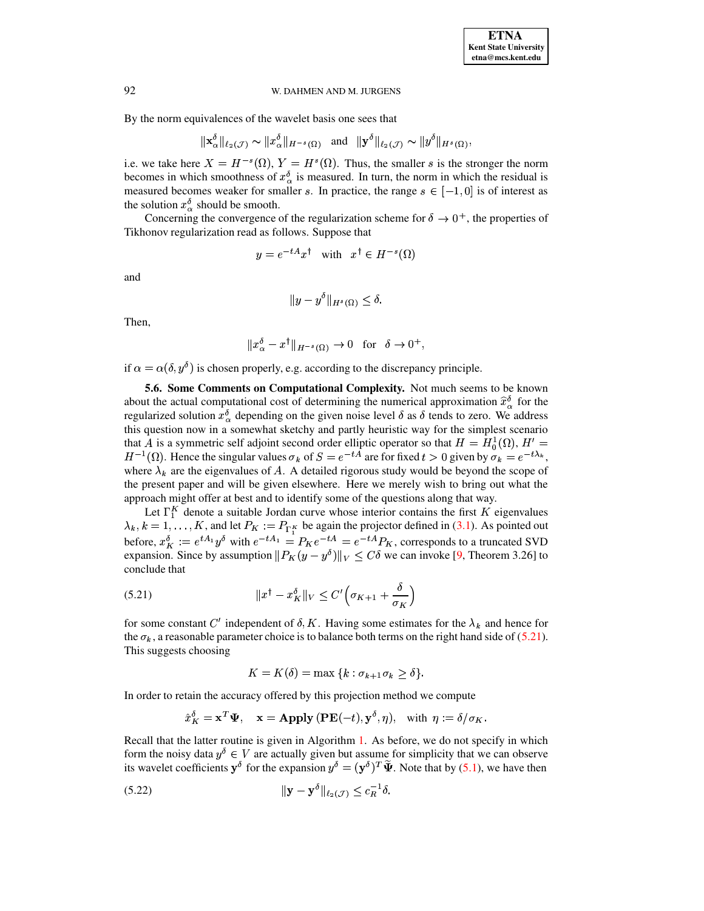By the norm equivalences of the wavelet basis one sees that

$$
\|\mathbf{x}_{\alpha}^{\delta}\|_{\ell_2(\mathcal{J})} \sim \|x_{\alpha}^{\delta}\|_{H^{-s}(\Omega)} \quad \text{and} \quad \|\mathbf{y}^{\delta}\|_{\ell_2(\mathcal{J})} \sim \|y^{\delta}\|_{H^s(\Omega)}
$$

i.e. we take here  $X = H^{-s}(\Omega)$ ,  $Y = H^{s}(\Omega)$ . Thus, the smaller s is the stronger the norm becomes in which smoothness of  $x_{\alpha}^{\delta}$  is measured. In turn, the norm in which the residual is measured becomes weaker for smaller s. In practice, the range  $s \in [-1,0]$  is of interest as the solution  $x_{\alpha}^{\delta}$  should be smooth.

Concerning the convergence of the regularization scheme for  $\delta \to 0^+$ , the properties of Tikhonov regularization read as follows. Suppose that

$$
y = e^{-tA}x^{\dagger}
$$
 with  $x^{\dagger} \in H^{-s}(\Omega)$ 

and

$$
||y - y^{\delta}||_{H^s(\Omega)} \le \delta
$$

Then,

$$
||x_{\alpha}^{\delta} - x^{\dagger}||_{H^{-s}(\Omega)} \to 0 \text{ for } \delta \to 0^{+},
$$

if  $\alpha = \alpha(\delta, y^{\delta})$  is chosen properly, e.g. according to the discrepancy principle.

5.6. Some Comments on Computational Complexity. Not much seems to be known about the actual computational cost of determining the numerical approximation  $\hat{x}_{\alpha}^{\delta}$  for the regularized solution  $x_{\alpha}^{\delta}$  depending on the given noise level  $\delta$  as  $\delta$  tends to zero. We address this question now in a somewhat sketchy and partly heuristic way for the simplest scenario that A is a symmetric self adjoint second order elliptic operator so that  $H = H_0^1(\Omega)$ ,  $H' =$  $H^{-1}(\Omega)$ . Hence the singular values  $\sigma_k$  of  $S = e^{-tA}$  are for fixed  $t > 0$  given by  $\sigma_k = e^{-t\lambda_k}$ , where  $\lambda_k$  are the eigenvalues of A. A detailed rigorous study would be beyond the scope of the present paper and will be given elsewhere. Here we merely wish to bring out what the approach might offer at best and to identify some of the questions along that way.

Let  $\Gamma_1^K$  denote a suitable Jordan curve whose interior contains the first K eigenvalues  $\lambda_k$ ,  $k = 1, ..., K$ , and let  $P_K := P_{\Gamma_1^K}$  be again the projector defined in (3.1). As pointed out before,  $x_K^{\delta} := e^{tA_1}y^{\delta}$  with  $e^{-tA_1} = P_K e^{-tA} = e^{-tA}P_K$ , corresponds to a truncated SVD expansion. Since by assumption  $||P_K(y - y^\delta)||_V \leq C\delta$  we can invoke [9, Theorem 3.26] to conclude that

<span id="page-25-0"></span>(5.21) 
$$
||x^{\dagger} - x_K^{\delta}||_V \leq C' \left(\sigma_{K+1} + \frac{\delta}{\sigma_K}\right)
$$

for some constant C' independent of  $\delta$ , K. Having some estimates for the  $\lambda_k$  and hence for the  $\sigma_k$ , a reasonable parameter choice is to balance both terms on the right hand side of (5.21). This suggests choosing

<span id="page-25-1"></span>
$$
K = K(\delta) = \max\{k : \sigma_{k+1}\sigma_k \ge \delta\}.
$$

In order to retain the accuracy offered by this projection method we compute

$$
\hat{x}_K^{\delta} = \mathbf{x}^T \mathbf{\Psi}, \quad \mathbf{x} = \mathbf{Apply} (\mathbf{PE}(-t), \mathbf{y}^{\delta}, \eta), \text{ with } \eta := \delta / \sigma_K
$$

Recall that the latter routine is given in Algorithm 1. As before, we do not specify in which form the noisy data  $y^{\delta} \in V$  are actually given but assume for simplicity that we can observe its wavelet coefficients  $y^{\delta}$  for the expansion  $y^{\delta} = (y^{\delta})^T \tilde{\Psi}$ . Note that by (5.1), we have then

$$
\|\mathbf{y} - \mathbf{y}^{\delta}\|_{\ell_2(\mathcal{J})} \le c_R^{-1} \delta.
$$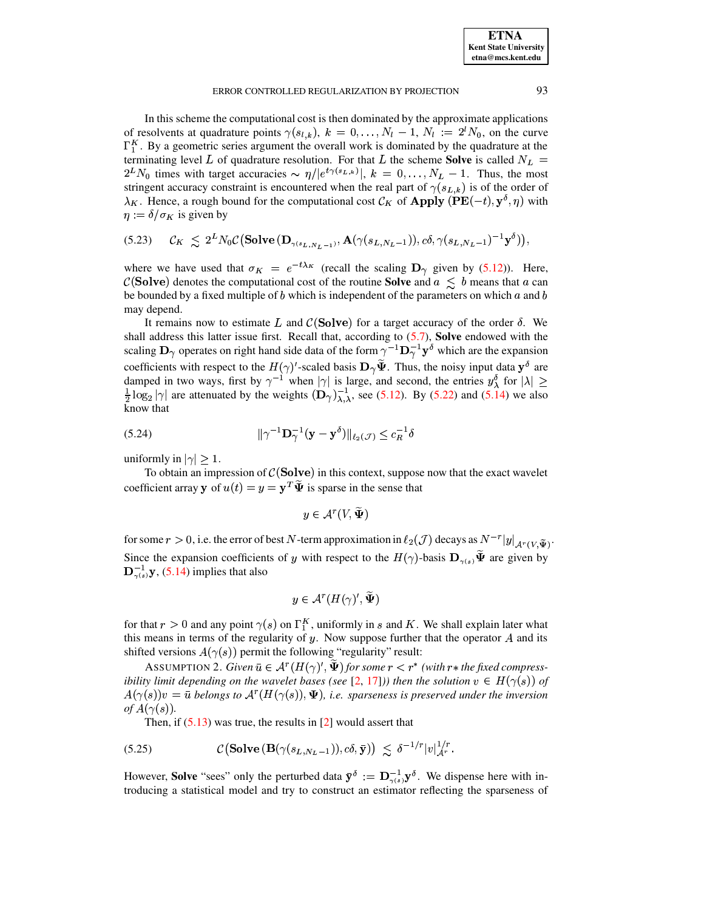In this scheme the computational cost is then dominated by the approximate applications of resolvents at quadrature points  $\gamma(s_{l,k})$ ,  $k = 0, \ldots, N_l - 1, N_l := 2^l N_0$ , on the curve  $\Gamma_1^K$ . By a geometric series argument the overall work is dominated by the quadrature at the terminating level L of quadrature resolution. For that L the scheme **Solve** is called  $N_L$  =  $2^L N_0$  times with target accuracies  $\sim \eta/|e^{t\gamma(s_L,k)}|$ ,  $k = 0, \ldots, N_L - 1$ . Thus, the most stringent accuracy constraint is encountered when the real part of  $\gamma(s_{L,k})$  is of the order of  $\lambda_K$ . Hence, a rough bound for the computational cost  $\mathcal{C}_K$  of **Apply** (PE(-t),  $y^{\delta}$ ,  $\eta$ ) with  $\eta := \delta / \sigma_K$  is given by

<span id="page-26-3"></span>
$$
(5.23) \quad \mathcal{C}_K \leq 2^L N_0 \mathcal{C} \big( \mathbf{Solve} \, (\mathbf{D}_{\gamma(s_L, N_L - 1)}, \mathbf{A}(\gamma(s_{L, N_L - 1})), c\delta, \gamma(s_{L, N_L - 1})^{-1} \mathbf{y}^\delta) \big),
$$

where we have used that  $\sigma_K = e^{-t\lambda_K}$  (recall the scaling  $\mathbf{D}_{\gamma}$  given by (5.12)). Here,  $\mathcal{C}(\text{Solve})$  denotes the computational cost of the routine **Solve** and  $a \leq b$  means that a can be bounded by a fixed multiple of  $b$  which is independent of the parameters on which  $a$  and  $b$ may depend.

It remains now to estimate L and  $\mathcal{C}(\text{Solve})$  for a target accuracy of the order  $\delta$ . We shall address this latter issue first. Recall that, according to  $(5.7)$ , **Solve** endowed with the scaling  $\mathbf{D}_{\gamma}$  operates on right hand side data of the form  $\gamma^{-1}\mathbf{D}_{\gamma}^{-1}\mathbf{y}^{\delta}$  which are the expansion coefficients with respect to the  $H(\gamma)'$ -scaled basis  $\mathbf{D}_{\gamma}\Psi$ . Thus, the noisy input data  $\mathbf{y}^{\delta}$  are damped in two ways, first by  $\gamma^{-1}$  when  $|\gamma|$  is large, and second, the entries  $y_\lambda^{\delta}$  for  $|\lambda| \ge$  $\frac{1}{2}$  log<sub>2</sub> | $\gamma$ | are attenuated by the weights  $(D_{\gamma})_{\lambda,\lambda}^{-1}$ , see (5.12). By (5.22) and (5.14) we also know that

<span id="page-26-1"></span>(5.24) 
$$
\|\gamma^{-1}\mathbf{D}_{\gamma}^{-1}(\mathbf{y}-\mathbf{y}^{\delta})\|_{\ell_2(\mathcal{J})}\leq c_R^{-1}\delta
$$

uniformly in  $|\gamma| > 1$ .

To obtain an impression of  $\mathcal{C}(\textbf{Solve})$  in this context, suppose now that the exact wavelet coefficient array **y** of  $u(t) = y = \mathbf{y}^T \tilde{\mathbf{\Psi}}$  is sparse in the sense that

 $y \in \mathcal{A}^r(V, \widetilde{\Psi})$ 

for some  $r > 0$ , i.e. the error of best N-term approximation in  $\ell_2(\mathcal{J})$  decays as  $N^{-r}|y|_{\mathcal{A}^r(V,\tilde{\Psi})}$ . Since the expansion coefficients of y with respect to the  $H(\gamma)$ -basis  $\mathbf{D}_{\gamma(s)}\widetilde{\mathbf{\Psi}}$  are given by  $\mathbf{D}_{\gamma(s)}^{-1} \mathbf{y}$ , (5.14) implies that also

<span id="page-26-0"></span>
$$
y\in \mathcal{A}^r(H(\gamma)',\widetilde{\Psi})
$$

for that  $r > 0$  and any point  $\gamma(s)$  on  $\Gamma_1^K$ , uniformly in s and K. We shall explain later what this means in terms of the regularity of  $y$ . Now suppose further that the operator  $A$  and its shifted versions  $A(\gamma(s))$  permit the following "regularity" result:

<span id="page-26-2"></span>ASSUMPTION 2. Given  $\bar{u} \in A^r(H(\gamma), \Psi)$  for some  $r < r^*$  (with  $r^*$  the fixed compressibility limit depending on the wavelet bases (see [2, 17])) then the solution  $v \in H(\gamma(s))$  of  $A(\gamma(s))v = \bar{u}$  belongs to  $A^r(H(\gamma(s)), \Psi)$ , i.e. sparseness is preserved under the inversion of  $A(\gamma(s))$ .

Then, if  $(5.13)$  was true, the results in [2] would assert that

(5.25) 
$$
\mathcal{C}\left(\mathbf{Solve}\left(\mathbf{B}(\gamma(s_{L,N_L-1})),c\delta,\bar{\mathbf{y}}\right)\right) \leq \delta^{-1/r}|v|_{\mathcal{A}^r}^{1/r}.
$$

However, **Solve** "sees" only the perturbed data  $\bar{y}^{\delta} := D_{\gamma(s)}^{-1} y^{\delta}$ . We dispense here with introducing a statistical model and try to construct an estimator reflecting the sparseness of

93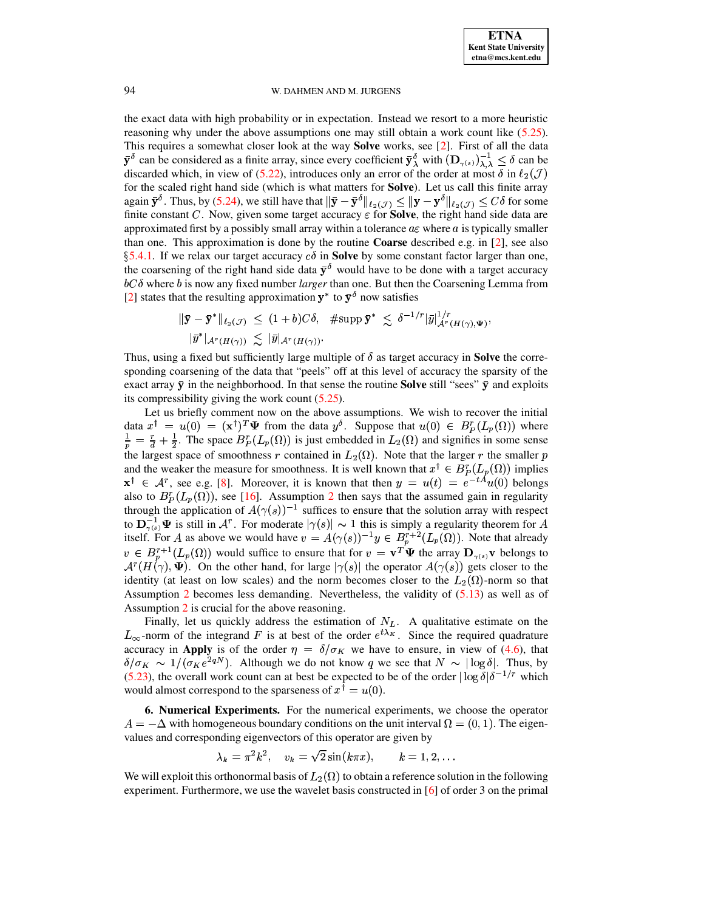the exact data with high probability or in expectation. Instead we resort to a more heuristic reasoning why under the above assumptions one may still obtain a work count like  $(5.25)$ . This requires a somewhat closer look at the way Solve works, see [2]. First of all the data  $\bar{\mathbf{y}}^{\delta}$  can be considered as a finite array, since every coefficient  $\bar{\mathbf{y}}_{\lambda}^{\delta}$  with  $(\mathbf{D}_{\gamma(s)})_{\lambda,\lambda}^{-1} \leq \delta$  can be discarded which, in view of (5.22), introduces only an error of the order at most  $\delta$  in  $\ell_2(\mathcal{J})$ for the scaled right hand side (which is what matters for **Solve**). Let us call this finite array again  $\bar{\mathbf{y}}^{\delta}$ . Thus, by (5.24), we still have that  $\|\bar{\mathbf{y}} - \bar{\mathbf{y}}^{\delta}\|_{\ell_2(\mathcal{J})} \leq \|\mathbf{y} - \mathbf{y}^{\delta}\|_{\ell_2(\mathcal{J})} \leq C\delta$  for some finite constant C. Now, given some target accuracy  $\varepsilon$  for **Solve**, the ri approximated first by a possibly small array within a tolerance  $a\varepsilon$  where a is typically smaller than one. This approximation is done by the routine **Coarse** described e.g. in [2], see also §5.4.1. If we relax our target accuracy  $c\delta$  in **Solve** by some constant factor larger than one, the coarsening of the right hand side data  $\bar{y}^{\delta}$  would have to be done with a target accuracy  $bC\delta$  where b is now any fixed number larger than one. But then the Coarsening Lemma from [2] states that the resulting approximation  $y^*$  to  $\bar{y}^{\delta}$  now satisfies

$$
\|\bar{\mathbf{y}} - \bar{\mathbf{y}}^*\|_{\ell_2(\mathcal{J})} \le (1+b)C\delta, \quad \text{#supp }\bar{\mathbf{y}}^* \le \delta^{-1/r}|\bar{y}|_{\mathcal{A}^r(H(\gamma),\Psi)}^{1/r},
$$
  

$$
|\bar{y}^*|_{\mathcal{A}^r(H(\gamma))} \le |\bar{y}|_{\mathcal{A}^r(H(\gamma))}.
$$

Thus, using a fixed but sufficiently large multiple of  $\delta$  as target accuracy in **Solve** the corresponding coarsening of the data that "peels" off at this level of accuracy the sparsity of the exact array  $\bar{y}$  in the neighborhood. In that sense the routine **Solve** still "sees"  $\bar{y}$  and exploits its compressibility giving the work count  $(5.25)$ .

Let us briefly comment now on the above assumptions. We wish to recover the initial data  $x^{\dagger} = u(0) = (\mathbf{x}^{\dagger})^T \Psi$  from the data  $y^{\delta}$ . Suppose that  $u(0) \in B_P^r(L_p(\Omega))$  where  $\frac{1}{p} = \frac{r}{d} + \frac{1}{2}$ . The space  $B_P^r(L_p(\Omega))$  is just embedded in  $L_2(\Omega)$  and signifies in some sense the largest space of smoothness r contained in  $L_2(\Omega)$ . Note that the larger r the smaller p and the weaker the measure for smoothness. It is well known that  $x^{\dagger} \in B_{p}^{r}(L_{p}(\Omega))$  implies  $x^{\dagger} \in A^{r}$ , see e.g. [8]. Moreover, it is known that then  $y = u(t) = e^{-tA}u(0)$  belongs also to  $B_p^r(L_p(\Omega))$ , see [16]. Assumption 2 then says that the assumed gain in regularity through the application of  $A(\gamma(s))^{-1}$  suffices to ensure that the solution array with respect to  $\mathbf{D}_{\gamma(s)}^{-1} \Psi$  is still in  $\mathcal{A}^r$ . For moderate  $|\gamma(s)| \sim 1$  this is simply a regularity theorem for A itself. For A as above we would have  $v = A(\gamma(s))^{-1}y \in B_p^{r+2}(L_p(\Omega))$ . Note that already  $v \in B_n^{r+1}(L_p(\Omega))$  would suffice to ensure that for  $v = \mathbf{v}^T \mathbf{\Psi}$  the array  $\mathbf{D}_{\gamma(s)} \mathbf{v}$  belongs to  $\mathcal{A}^r(H(\gamma), \Psi)$ . On the other hand, for large  $|\gamma(s)|$  the operator  $A(\gamma(s))$  gets closer to the identity (at least on low scales) and the norm becomes closer to the  $L_2(\Omega)$ -norm so that Assumption 2 becomes less demanding. Nevertheless, the validity of  $(5.13)$  as well as of Assumption 2 is crucial for the above reasoning.

Finally, let us quickly address the estimation of  $N_L$ . A qualitative estimate on the  $L_{\infty}$ -norm of the integrand F is at best of the order  $e^{t\lambda_{K}}$ . Since the required quadrature accuracy in Apply is of the order  $\eta = \delta/\sigma_K$  we have to ensure, in view of (4.6), that  $\delta/\sigma_K \sim 1/(\sigma_K e^{2qN})$ . Although we do not know q we see that  $N \sim |\log \delta|$ . Thus, by (5.23), the overall work count can at best be expected to be of the order  $|\log \delta| \delta^{-1/r}$  which would almost correspond to the sparseness of  $x^{\dagger} = u(0)$ .

<span id="page-27-0"></span>6. Numerical Experiments. For the numerical experiments, we choose the operator  $A = -\Delta$  with homogeneous boundary conditions on the unit interval  $\Omega = (0, 1)$ . The eigenvalues and corresponding eigenvectors of this operator are given by

$$
\lambda_k = \pi^2 k^2, \quad v_k = \sqrt{2} \sin(k \pi x), \qquad k = 1, 2, \dots
$$

We will exploit this orthonormal basis of  $L_2(\Omega)$  to obtain a reference solution in the following experiment. Furthermore, we use the wavelet basis constructed in  $[6]$  of order 3 on the primal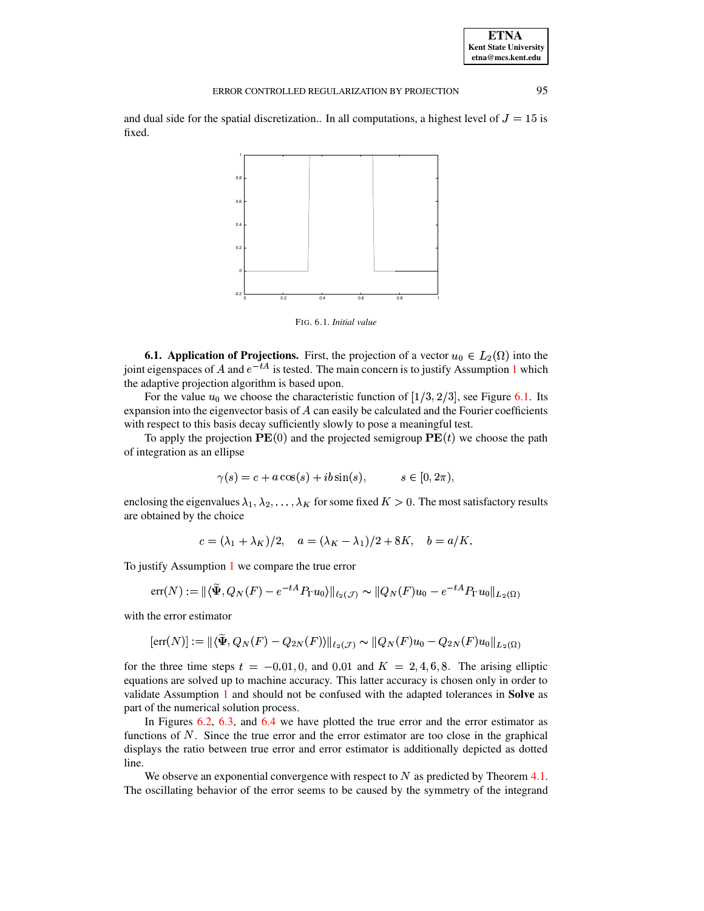| <b>ETNA</b>           |
|-----------------------|
| Kent State University |
| etna@mcs.kent.edu     |

95

and dual side for the spatial discretization.. In all computations, a highest level of  $J = 15$  is fixed.



<span id="page-28-0"></span>FIG. 6.1. Initial value

**6.1. Application of Projections.** First, the projection of a vector  $u_0 \,\in L_2(\Omega)$  into the joint eigenspaces of A and  $e^{-tA}$  is tested. The main concern is to justify Assumption 1 which the adaptive projection algorithm is based upon.

For the value  $u_0$  we choose the characteristic function of [1/3, 2/3], see Figure 6.1. Its expansion into the eigenvector basis of  $A$  can easily be calculated and the Fourier coefficients with respect to this basis decay sufficiently slowly to pose a meaningful test.

To apply the projection  $\mathbf{PE}(0)$  and the projected semigroup  $\mathbf{PE}(t)$  we choose the path of integration as an ellipse

$$
\gamma(s) = c + a\cos(s) + ib\sin(s), \qquad s \in [0, 2\pi),
$$

enclosing the eigenvalues  $\lambda_1, \lambda_2, \ldots, \lambda_K$  for some fixed  $K > 0$ . The most satisfactory results are obtained by the choice

$$
c = (\lambda_1 + \lambda_K)/2, \quad a = (\lambda_K - \lambda_1)/2 + 8K, \quad b = a/K.
$$

To justify Assumption  $1$  we compare the true error

$$
err(N) := \| \langle \widetilde{\Psi}, Q_N(F) - e^{-tA} P_{\Gamma} u_0 \rangle \|_{\ell_2(\mathcal{J})} \sim \| Q_N(F) u_0 - e^{-tA} P_{\Gamma} u_0 \|_{L_2(\Omega)}
$$

with the error estimator

$$
[\text{err}(N)] := ||\langle \tilde{\Psi}, Q_N(F) - Q_{2N}(F) \rangle||_{\ell_2(\mathcal{J})} \sim ||Q_N(F)u_0 - Q_{2N}(F)u_0||_{L_2(\Omega)}
$$

for the three time steps  $t = -0.01, 0,$  and 0.01 and  $K = 2, 4, 6, 8$ . The arising elliptic equations are solved up to machine accuracy. This latter accuracy is chosen only in order to validate Assumption 1 and should not be confused with the adapted tolerances in Solve as part of the numerical solution process.

In Figures  $6.2$ ,  $6.3$ , and  $6.4$  we have plotted the true error and the error estimator as functions of  $N$ . Since the true error and the error estimator are too close in the graphical displays the ratio between true error and error estimator is additionally depicted as dotted line.

We observe an exponential convergence with respect to  $N$  as predicted by Theorem 4.1. The oscillating behavior of the error seems to be caused by the symmetry of the integrand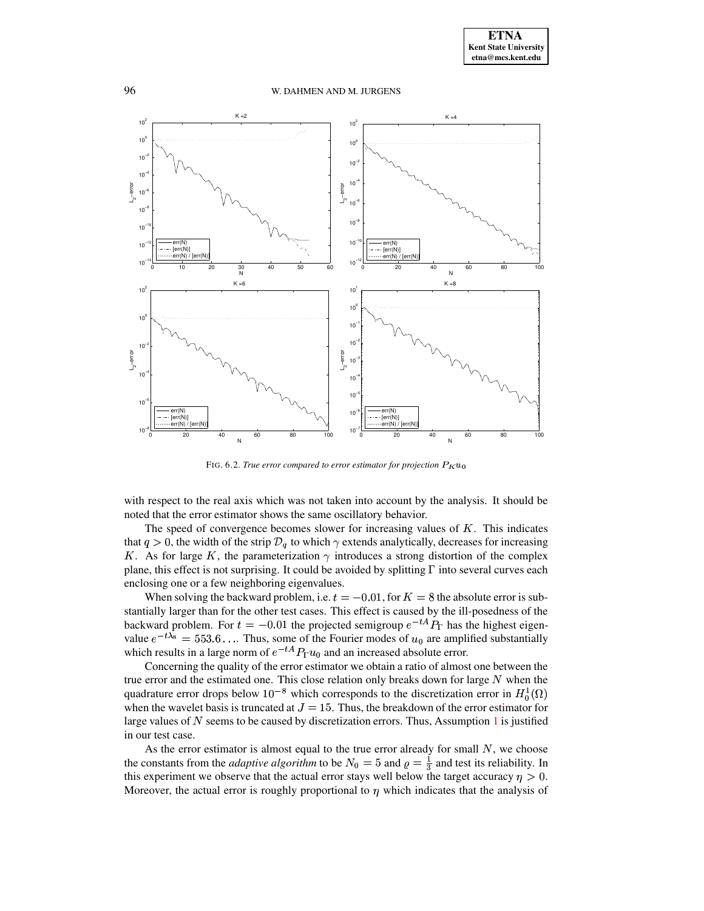96 W. DAHMEN AND M. JURGENS



FIG. 6.2. *True error compared to error estimator for projection* 

<span id="page-29-0"></span>with respect to the real axis which was not taken into account by the analysis. It should be noted that the error estimator shows the same oscillatory behavior.

The speed of convergence becomes slower for increasing values of  $K$ . This indicates that  $q > 0$ , the width of the strip  $\mathcal{D}_q$  to which  $\gamma$  extends analytically, decreases for increasing K. As for large K, the parameterization  $\gamma$  introduces a strong distortion of the complex plane, this effect is not surprising. It could be avoided by splitting  $\Gamma$  into several curves each enclosing one or a few neighboring eigenvalues.

When solving the backward problem, i.e.  $t = -0.01$ , for  $K = 8$  the absolute error is sub<sup>t</sup> stantially larger than for the other test cases. This effect is caused by the ill-posedness of the backward problem. For  $t = -0.01$  the projected semigroup  $e^{-tA}P_T$  has the highest eigenvalue  $e^{-t\lambda_8} = 553.6...$  Thus, some of the Fourier modes of  $u_0$  are amplified substantially which results in a large norm of  $e^{-tA}P_{\Gamma}u_0$  and an increased absolute error.

Concerning the quality of the error estimator we obtain a ratio of almost one between the true error and the estimated one. This close relation only breaks down for large  $N$  when the quadrature error drops below  $10^{-8}$  which corresponds to the discretization error in  $H_0^1(\Omega)$ <br>when the wavelet basis is truncated at  $I = 15$ . Thus, the breakdown of the error estimator for when the wavelet basis is truncated at  $J = 15$ . Thus, the breakdown of the error estimator for large values of N seems to be caused by discretization errors. Thus, Assumption 1 is justified large values of  $N$  seems to be caused by discretization errors. Thus, Assumption [1](#page-11-0) is justified in our test case.

As the error estimator is almost equal to the true error already for small  $N$ , we choose the constants from the *adaptive algorithm* to be  $N_0 = 5$  and  $\rho = \frac{1}{3}$  and test its reliability. In this experiment we observe that the actual error stays well below the target accuracy  $\eta > 0$ . Moreover, the actual error is roughly proportional to  $\eta$  which indicates that the analysis of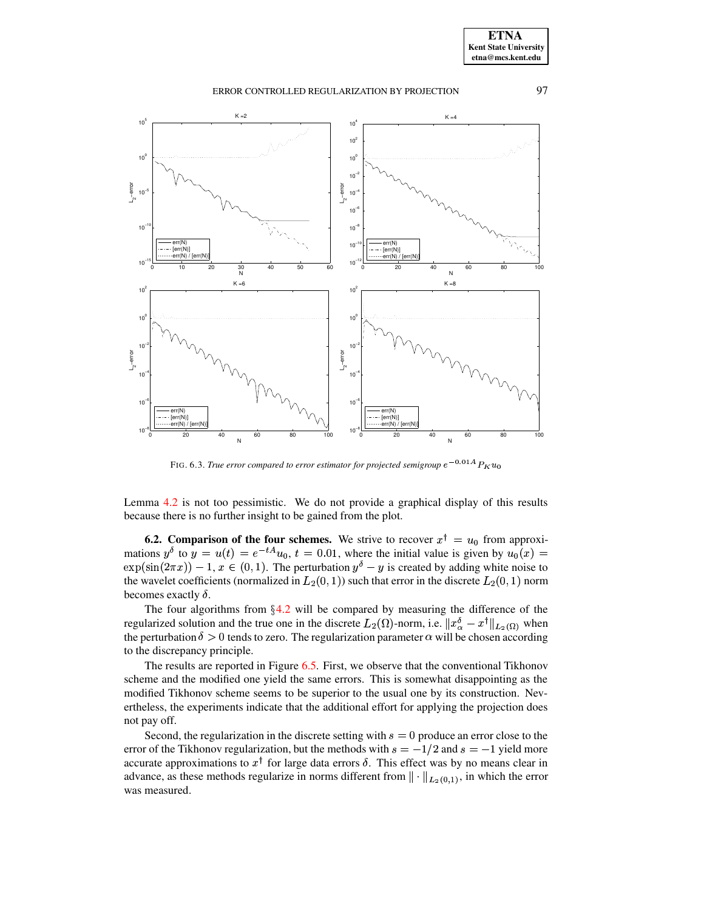

FIG. 6.3. *True error compared to error estimator for projected semigroup* 

<span id="page-30-0"></span>Lemma [4.2](#page-11-2) is not too pessimistic. We do not provide a graphical display of this results because there is no further insight to be gained from the plot.

**6.2.** Comparison of the four schemes. We strive to recover  $x^{\dagger} = u_0$  from approximations  $y^{\delta}$  to  $y = u(t) = e^{-tA}u_0$ ,  $t = 0.01$ , where the initial value is given by  $u_0(x) =$  $\exp(\sin(2\pi x)) - 1$ ,  $x \in (0, 1)$ . The perturbation  $y^{\delta} - y$  is created by adding white noise to the wavelet coefficients (pormalized in  $L_2(0, 1)$ ) such that error in the discrete  $L_2(0, 1)$  porm the wavelet coefficients (normalized in  $L_2(0,1)$ ) such that error in the discrete  $L_2(0,1)$  norm becomes exactly  $\delta$ .

The four algorithms from  $\S 4.2$  $\S 4.2$  will be compared by measuring the difference of the regularized solution and the true one in the discrete  $L_2(\Omega)$ -norm, i.e.  $||x^{\delta}_{\alpha} - x^{\dagger}||_{L_2(\Omega)}$  when the perturbation  $\delta > 0$  tends to zero. The regularization parameter  $\alpha$  will be chosen according to the discrepancy principle.

The results are reported in Figure [6.5.](#page-32-14) First, we observe that the conventional Tikhonov scheme and the modified one yield the same errors. This is somewhat disappointing as the modified Tikhonov scheme seems to be superior to the usual one by its construction. Nevertheless, the experiments indicate that the additional effort for applying the projection does not pay off. bay off.<br>Second, the regularization in the discrete setting with  $s = 0$  produce an error close to the

Second, the regularization in the discrete setting with  $s = 0$  produce an error close to the error of the Tikhonov regularization, but the methods with  $s = -1/2$  and  $s = -1$  yield more produce an error close to the  $1/2$  and  $s = -1$  yield more<br>t was by no means clear in accurate approximations to  $x^{\dagger}$  for large data errors  $\delta$ . This effect was by no means clear in advance, as these methods regularize in norms different from  $\|\cdot\|_{L_2(0,1)}$ , in which the error was measured.

**ETNA Kent State University etna@mcs.kent.edu**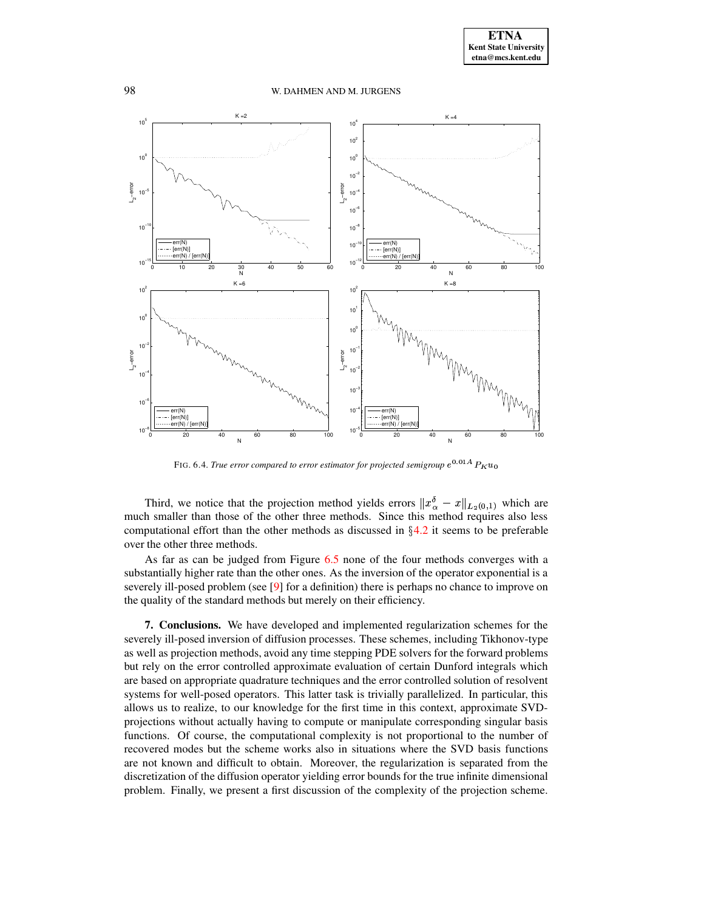

FIG. 6.4. *True error compared to error estimator for projected semigroup* 

<span id="page-31-0"></span>Third, we notice that the projection method yields errors  $||x^{\delta}_{\alpha} - x||_{L^{\delta}(0,1)}$  which are much smaller than those of the other three methods. Since this method requires also less computational effort than the other methods as discussed in  $\S4.2$  $\S4.2$  it seems to be preferable over the other three methods.

As far as can be judged from Figure [6.5](#page-32-14) none of the four methods converges with a substantially higher rate than the other ones. As the inversion of the operator exponential is a severely ill-posed problem (see [\[9\]](#page-32-0) for a definition) there is perhaps no chance to improve on the quality of the standard methods but merely on their efficiency.

**7. Conclusions.** We have developed and implemented regularization schemes for the severely ill-posed inversion of diffusion processes. These schemes, including Tikhonov-type as well as projection methods, avoid any time stepping PDE solvers for the forward problems but rely on the error controlled approximate evaluation of certain Dunford integrals which are based on appropriate quadrature techniques and the error controlled solution of resolvent systems for well-posed operators. This latter task is trivially parallelized. In particular, this allows us to realize, to our knowledge for the first time in this context, approximate SVDprojections without actually having to compute or manipulate corresponding singular basis functions. Of course, the computational complexity is not proportional to the number of recovered modes but the scheme works also in situations where the SVD basis functions are not known and difficult to obtain. Moreover, the regularization is separated from the discretization of the diffusion operator yielding error bounds for the true infinite dimensional problem. Finally, we present a first discussion of the complexity of the projection scheme.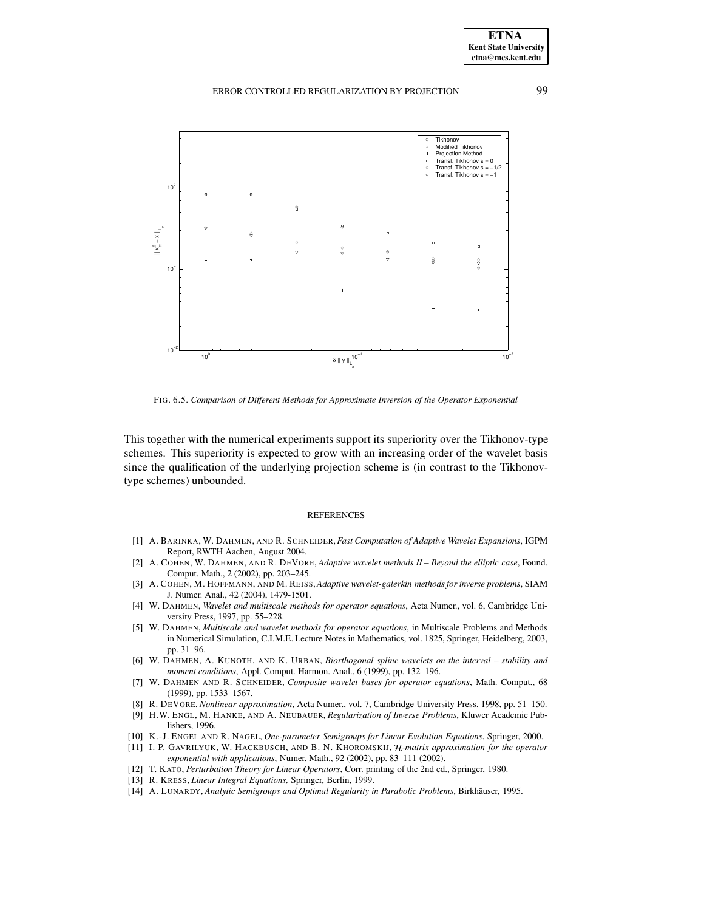

FIG. 6.5. *Comparison of Different Methods for Approximate Inversion of the Operator Exponential*

<span id="page-32-14"></span>This together with the numerical experiments support its superiority over the Tikhonov-type schemes. This superiority is expected to grow with an increasing order of the wavelet basis since the qualification of the underlying projection scheme is (in contrast to the Tikhonovtype schemes) unbounded.

#### REFERENCES

- <span id="page-32-11"></span>[1] A. BARINKA, W. DAHMEN, AND R. SCHNEIDER,*Fast Computation of Adaptive Wavelet Expansions*, IGPM Report, RWTH Aachen, August 2004.
- <span id="page-32-1"></span>[2] A. COHEN, W. DAHMEN, AND R. DEVORE, *Adaptive wavelet methods II – Beyond the elliptic case*, Found. Comput. Math., 2 (2002), pp. 203–245.
- <span id="page-32-3"></span>[3] A. COHEN, M. HOFFMANN, AND M. REISS,*Adaptive wavelet-galerkin methods for inverse problems*, SIAM J. Numer. Anal., 42 (2004), 1479-1501.
- <span id="page-32-9"></span>[4] W. DAHMEN, *Wavelet and multiscale methods for operator equations*, Acta Numer., vol. 6, Cambridge University Press, 1997, pp. 55–228.
- <span id="page-32-10"></span>[5] W. DAHMEN, *Multiscale and wavelet methods for operator equations*, in Multiscale Problems and Methods in Numerical Simulation, C.I.M.E. Lecture Notes in Mathematics, vol. 1825, Springer, Heidelberg, 2003, pp. 31–96.
- <span id="page-32-13"></span>[6] W. DAHMEN, A. KUNOTH, AND K. URBAN, *Biorthogonal spline wavelets on the interval – stability and moment conditions*, Appl. Comput. Harmon. Anal., 6 (1999), pp. 132–196.
- <span id="page-32-8"></span>[7] W. DAHMEN AND R. SCHNEIDER, *Composite wavelet bases for operator equations*, Math. Comput., 68 (1999), pp. 1533–1567.
- <span id="page-32-12"></span>[8] R. DEVORE, *Nonlinear approximation*, Acta Numer., vol. 7, Cambridge University Press, 1998, pp. 51–150.
- <span id="page-32-0"></span>[9] H.W. ENGL, M. HANKE, AND A. NEUBAUER, *Regularization of Inverse Problems*, Kluwer Academic Publishers, 1996.
- <span id="page-32-4"></span><span id="page-32-2"></span>[10] K.-J. ENGEL AND R. NAGEL, *One-parameter Semigroups for Linear Evolution Equations*, Springer, 2000.
- [11] I. P. GAVRILYUK, W. HACKBUSCH, AND B. N. KHOROMSKIJ, *H*-matrix approximation for the operator *exponential with applications*, Numer. Math., 92 (2002), pp. 83–111 (2002).
- <span id="page-32-7"></span><span id="page-32-6"></span>[12] T. KATO, *Perturbation Theory for Linear Operators*, Corr. printing of the 2nd ed., Springer, 1980.
- <span id="page-32-5"></span>[13] R. KRESS, *Linear Integral Equations,* Springer, Berlin, 1999.
- [14] A. LUNARDY, *Analytic Semigroups and Optimal Regularity in Parabolic Problems*, Birkhäuser, 1995.

**ETNA Kent State University etna@mcs.kent.edu**